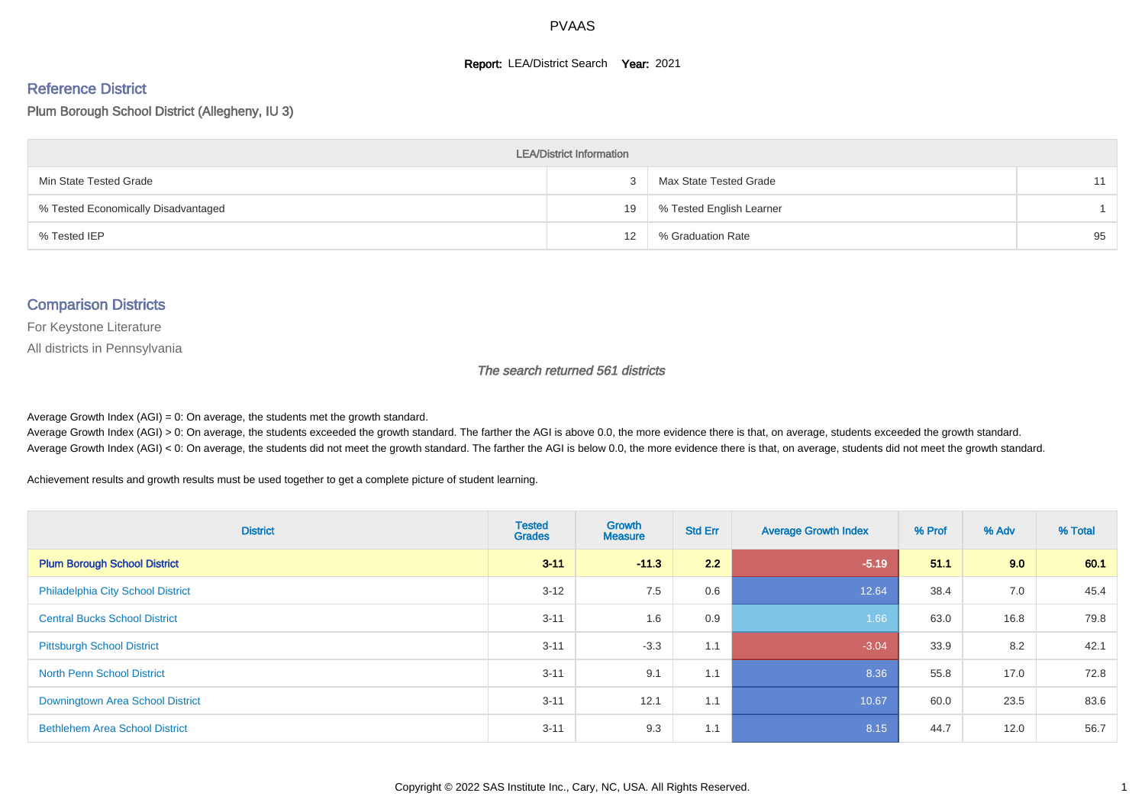#### **Report: LEA/District Search Year: 2021**

# Reference District

Plum Borough School District (Allegheny, IU 3)

| <b>LEA/District Information</b>     |    |                          |    |  |  |  |  |  |  |
|-------------------------------------|----|--------------------------|----|--|--|--|--|--|--|
| Min State Tested Grade              |    | Max State Tested Grade   | 11 |  |  |  |  |  |  |
| % Tested Economically Disadvantaged | 19 | % Tested English Learner |    |  |  |  |  |  |  |
| % Tested IEP                        | 12 | % Graduation Rate        | 95 |  |  |  |  |  |  |

#### Comparison Districts

For Keystone Literature

All districts in Pennsylvania

The search returned 561 districts

Average Growth Index  $(AGI) = 0$ : On average, the students met the growth standard.

Average Growth Index (AGI) > 0: On average, the students exceeded the growth standard. The farther the AGI is above 0.0, the more evidence there is that, on average, students exceeded the growth standard. Average Growth Index (AGI) < 0: On average, the students did not meet the growth standard. The farther the AGI is below 0.0, the more evidence there is that, on average, students did not meet the growth standard.

Achievement results and growth results must be used together to get a complete picture of student learning.

| <b>District</b>                          | <b>Tested</b><br><b>Grades</b> | <b>Growth</b><br><b>Measure</b> | <b>Std Err</b> | <b>Average Growth Index</b> | % Prof | % Adv | % Total |
|------------------------------------------|--------------------------------|---------------------------------|----------------|-----------------------------|--------|-------|---------|
| <b>Plum Borough School District</b>      | $3 - 11$                       | $-11.3$                         | 2.2            | $-5.19$                     | 51.1   | 9.0   | 60.1    |
| <b>Philadelphia City School District</b> | $3 - 12$                       | 7.5                             | 0.6            | 12.64                       | 38.4   | 7.0   | 45.4    |
| <b>Central Bucks School District</b>     | $3 - 11$                       | 1.6                             | 0.9            | 1.66                        | 63.0   | 16.8  | 79.8    |
| <b>Pittsburgh School District</b>        | $3 - 11$                       | $-3.3$                          | 1.1            | $-3.04$                     | 33.9   | 8.2   | 42.1    |
| <b>North Penn School District</b>        | $3 - 11$                       | 9.1                             | 1.1            | 8.36                        | 55.8   | 17.0  | 72.8    |
| Downingtown Area School District         | $3 - 11$                       | 12.1                            | 1.1            | 10.67                       | 60.0   | 23.5  | 83.6    |
| <b>Bethlehem Area School District</b>    | $3 - 11$                       | 9.3                             | 1.1            | 8.15                        | 44.7   | 12.0  | 56.7    |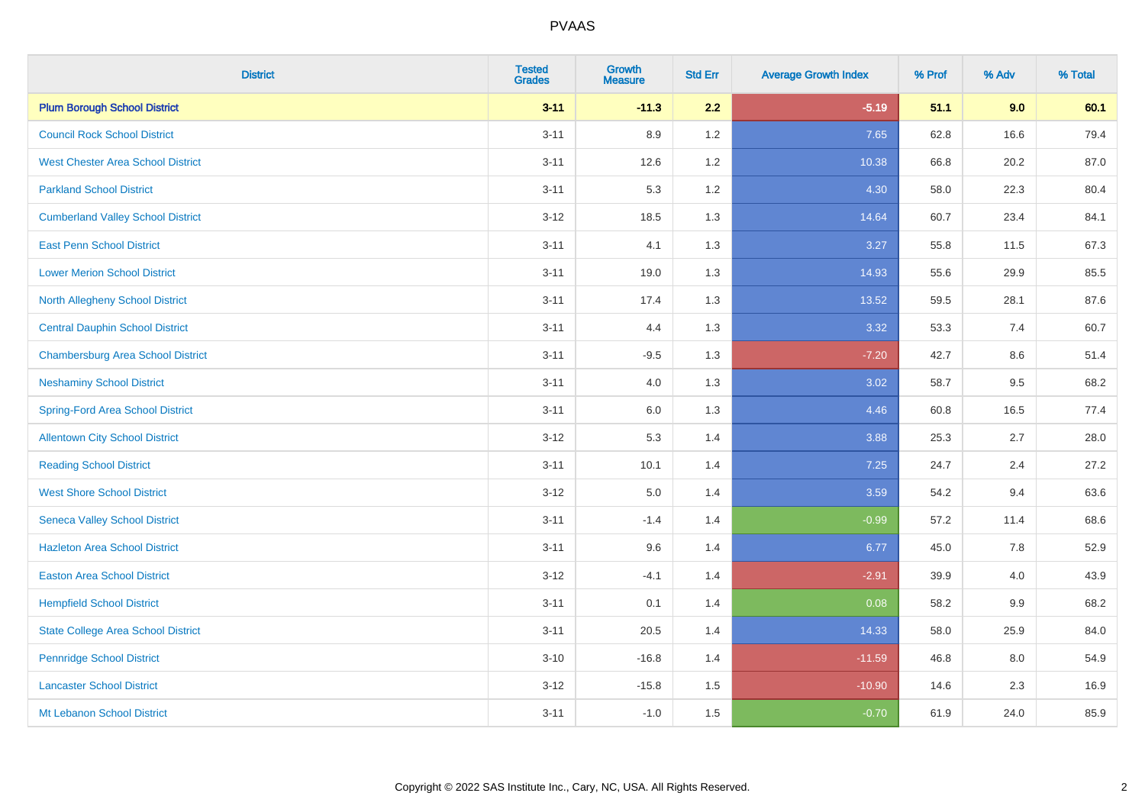| <b>District</b>                           | <b>Tested</b><br><b>Grades</b> | <b>Growth</b><br><b>Measure</b> | <b>Std Err</b> | <b>Average Growth Index</b> | % Prof | % Adv | % Total |
|-------------------------------------------|--------------------------------|---------------------------------|----------------|-----------------------------|--------|-------|---------|
| <b>Plum Borough School District</b>       | $3 - 11$                       | $-11.3$                         | 2.2            | $-5.19$                     | 51.1   | 9.0   | 60.1    |
| <b>Council Rock School District</b>       | $3 - 11$                       | 8.9                             | 1.2            | 7.65                        | 62.8   | 16.6  | 79.4    |
| <b>West Chester Area School District</b>  | $3 - 11$                       | 12.6                            | 1.2            | 10.38                       | 66.8   | 20.2  | 87.0    |
| <b>Parkland School District</b>           | $3 - 11$                       | 5.3                             | 1.2            | 4.30                        | 58.0   | 22.3  | 80.4    |
| <b>Cumberland Valley School District</b>  | $3 - 12$                       | 18.5                            | 1.3            | 14.64                       | 60.7   | 23.4  | 84.1    |
| <b>East Penn School District</b>          | $3 - 11$                       | 4.1                             | 1.3            | 3.27                        | 55.8   | 11.5  | 67.3    |
| <b>Lower Merion School District</b>       | $3 - 11$                       | 19.0                            | 1.3            | 14.93                       | 55.6   | 29.9  | 85.5    |
| <b>North Allegheny School District</b>    | $3 - 11$                       | 17.4                            | 1.3            | 13.52                       | 59.5   | 28.1  | 87.6    |
| <b>Central Dauphin School District</b>    | $3 - 11$                       | 4.4                             | 1.3            | 3.32                        | 53.3   | 7.4   | 60.7    |
| <b>Chambersburg Area School District</b>  | $3 - 11$                       | $-9.5$                          | 1.3            | $-7.20$                     | 42.7   | 8.6   | 51.4    |
| <b>Neshaminy School District</b>          | $3 - 11$                       | 4.0                             | 1.3            | 3.02                        | 58.7   | 9.5   | 68.2    |
| Spring-Ford Area School District          | $3 - 11$                       | 6.0                             | 1.3            | 4.46                        | 60.8   | 16.5  | 77.4    |
| <b>Allentown City School District</b>     | $3 - 12$                       | 5.3                             | 1.4            | 3.88                        | 25.3   | 2.7   | 28.0    |
| <b>Reading School District</b>            | $3 - 11$                       | 10.1                            | 1.4            | 7.25                        | 24.7   | 2.4   | 27.2    |
| <b>West Shore School District</b>         | $3 - 12$                       | 5.0                             | 1.4            | 3.59                        | 54.2   | 9.4   | 63.6    |
| <b>Seneca Valley School District</b>      | $3 - 11$                       | $-1.4$                          | 1.4            | $-0.99$                     | 57.2   | 11.4  | 68.6    |
| <b>Hazleton Area School District</b>      | $3 - 11$                       | 9.6                             | 1.4            | 6.77                        | 45.0   | 7.8   | 52.9    |
| <b>Easton Area School District</b>        | $3 - 12$                       | $-4.1$                          | 1.4            | $-2.91$                     | 39.9   | 4.0   | 43.9    |
| <b>Hempfield School District</b>          | $3 - 11$                       | 0.1                             | 1.4            | 0.08                        | 58.2   | 9.9   | 68.2    |
| <b>State College Area School District</b> | $3 - 11$                       | 20.5                            | 1.4            | 14.33                       | 58.0   | 25.9  | 84.0    |
| <b>Pennridge School District</b>          | $3 - 10$                       | $-16.8$                         | 1.4            | $-11.59$                    | 46.8   | 8.0   | 54.9    |
| <b>Lancaster School District</b>          | $3 - 12$                       | $-15.8$                         | 1.5            | $-10.90$                    | 14.6   | 2.3   | 16.9    |
| Mt Lebanon School District                | $3 - 11$                       | $-1.0$                          | 1.5            | $-0.70$                     | 61.9   | 24.0  | 85.9    |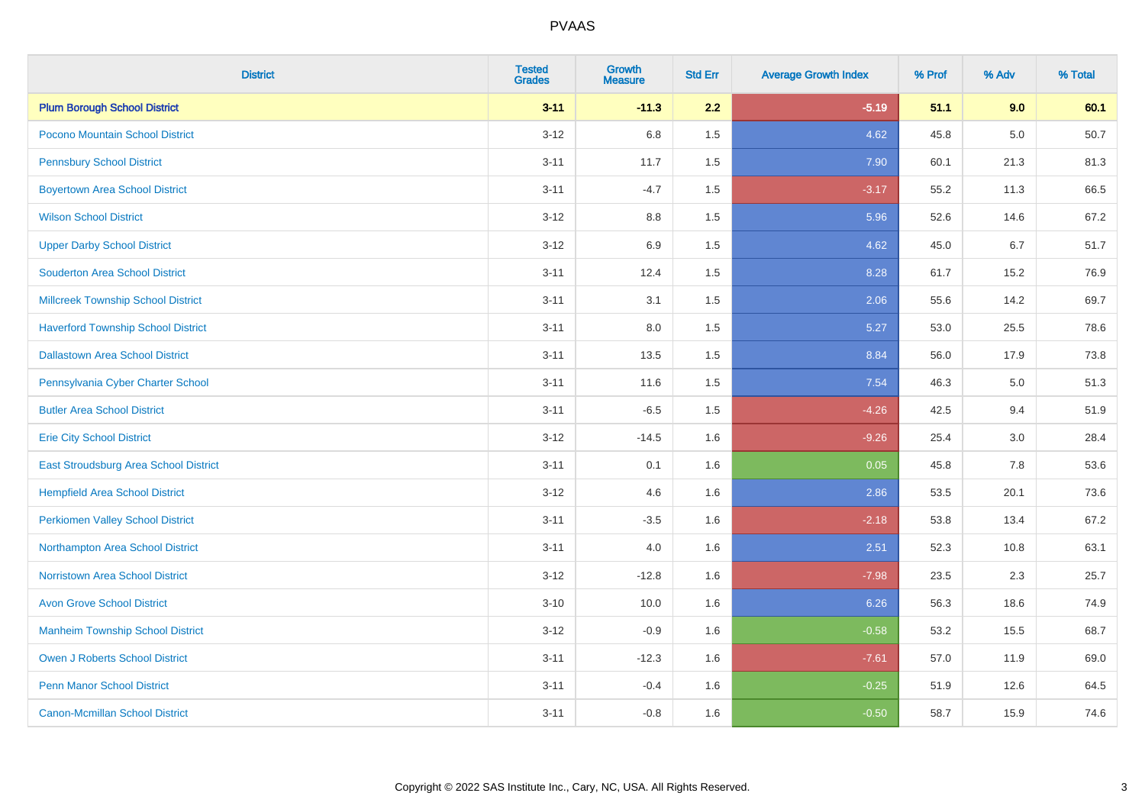| <b>District</b>                           | <b>Tested</b><br><b>Grades</b> | <b>Growth</b><br><b>Measure</b> | <b>Std Err</b> | <b>Average Growth Index</b> | % Prof | % Adv   | % Total |
|-------------------------------------------|--------------------------------|---------------------------------|----------------|-----------------------------|--------|---------|---------|
| <b>Plum Borough School District</b>       | $3 - 11$                       | $-11.3$                         | 2.2            | $-5.19$                     | 51.1   | 9.0     | 60.1    |
| Pocono Mountain School District           | $3 - 12$                       | 6.8                             | 1.5            | 4.62                        | 45.8   | 5.0     | 50.7    |
| <b>Pennsbury School District</b>          | $3 - 11$                       | 11.7                            | 1.5            | 7.90                        | 60.1   | 21.3    | 81.3    |
| <b>Boyertown Area School District</b>     | $3 - 11$                       | $-4.7$                          | 1.5            | $-3.17$                     | 55.2   | 11.3    | 66.5    |
| <b>Wilson School District</b>             | $3 - 12$                       | 8.8                             | 1.5            | 5.96                        | 52.6   | 14.6    | 67.2    |
| <b>Upper Darby School District</b>        | $3 - 12$                       | 6.9                             | 1.5            | 4.62                        | 45.0   | 6.7     | 51.7    |
| <b>Souderton Area School District</b>     | $3 - 11$                       | 12.4                            | 1.5            | 8.28                        | 61.7   | 15.2    | 76.9    |
| <b>Millcreek Township School District</b> | $3 - 11$                       | 3.1                             | 1.5            | 2.06                        | 55.6   | 14.2    | 69.7    |
| <b>Haverford Township School District</b> | $3 - 11$                       | 8.0                             | 1.5            | 5.27                        | 53.0   | 25.5    | 78.6    |
| <b>Dallastown Area School District</b>    | $3 - 11$                       | 13.5                            | 1.5            | 8.84                        | 56.0   | 17.9    | 73.8    |
| Pennsylvania Cyber Charter School         | $3 - 11$                       | 11.6                            | 1.5            | 7.54                        | 46.3   | 5.0     | 51.3    |
| <b>Butler Area School District</b>        | $3 - 11$                       | $-6.5$                          | 1.5            | $-4.26$                     | 42.5   | 9.4     | 51.9    |
| <b>Erie City School District</b>          | $3 - 12$                       | $-14.5$                         | 1.6            | $-9.26$                     | 25.4   | $3.0\,$ | 28.4    |
| East Stroudsburg Area School District     | $3 - 11$                       | 0.1                             | 1.6            | 0.05                        | 45.8   | 7.8     | 53.6    |
| <b>Hempfield Area School District</b>     | $3 - 12$                       | 4.6                             | 1.6            | 2.86                        | 53.5   | 20.1    | 73.6    |
| <b>Perkiomen Valley School District</b>   | $3 - 11$                       | $-3.5$                          | 1.6            | $-2.18$                     | 53.8   | 13.4    | 67.2    |
| Northampton Area School District          | $3 - 11$                       | 4.0                             | 1.6            | 2.51                        | 52.3   | 10.8    | 63.1    |
| <b>Norristown Area School District</b>    | $3 - 12$                       | $-12.8$                         | 1.6            | $-7.98$                     | 23.5   | 2.3     | 25.7    |
| <b>Avon Grove School District</b>         | $3 - 10$                       | 10.0                            | 1.6            | 6.26                        | 56.3   | 18.6    | 74.9    |
| <b>Manheim Township School District</b>   | $3 - 12$                       | $-0.9$                          | 1.6            | $-0.58$                     | 53.2   | 15.5    | 68.7    |
| <b>Owen J Roberts School District</b>     | $3 - 11$                       | $-12.3$                         | 1.6            | $-7.61$                     | 57.0   | 11.9    | 69.0    |
| Penn Manor School District                | $3 - 11$                       | $-0.4$                          | 1.6            | $-0.25$                     | 51.9   | 12.6    | 64.5    |
| <b>Canon-Mcmillan School District</b>     | $3 - 11$                       | $-0.8$                          | 1.6            | $-0.50$                     | 58.7   | 15.9    | 74.6    |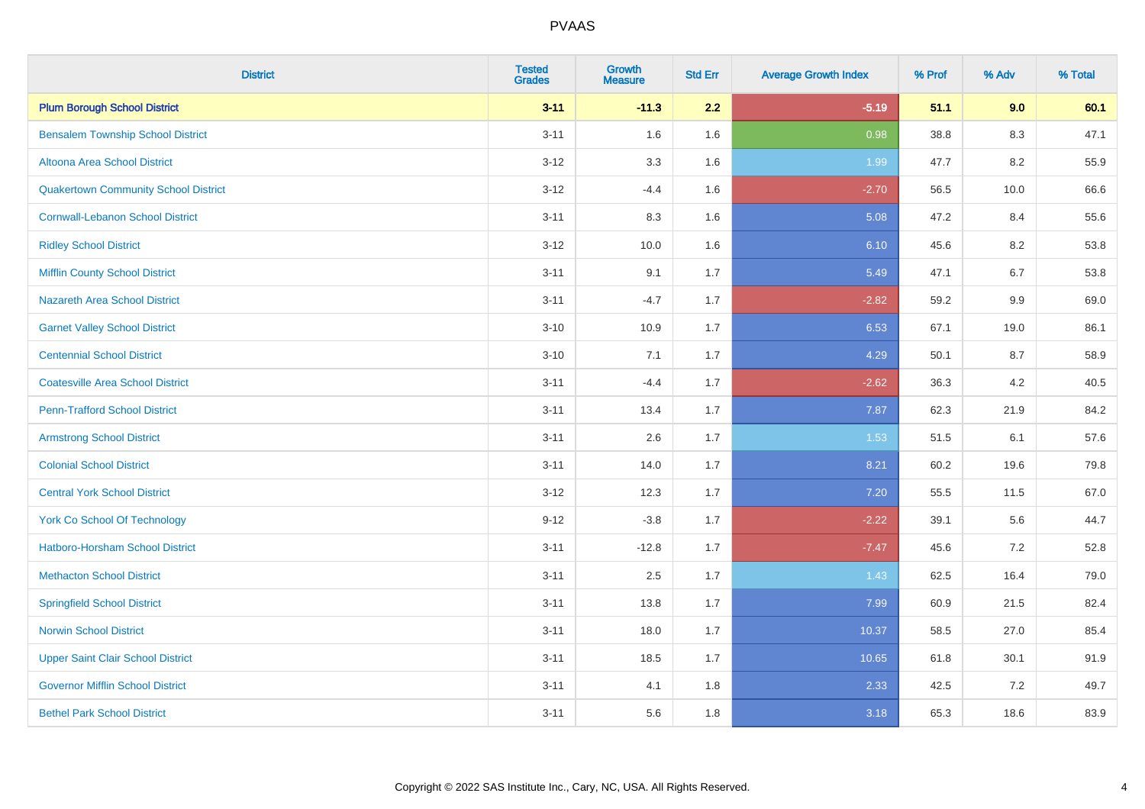| <b>District</b>                             | <b>Tested</b><br><b>Grades</b> | <b>Growth</b><br><b>Measure</b> | <b>Std Err</b> | <b>Average Growth Index</b> | % Prof | % Adv   | % Total |
|---------------------------------------------|--------------------------------|---------------------------------|----------------|-----------------------------|--------|---------|---------|
| <b>Plum Borough School District</b>         | $3 - 11$                       | $-11.3$                         | 2.2            | $-5.19$                     | 51.1   | 9.0     | 60.1    |
| <b>Bensalem Township School District</b>    | $3 - 11$                       | 1.6                             | 1.6            | 0.98                        | 38.8   | 8.3     | 47.1    |
| Altoona Area School District                | $3 - 12$                       | 3.3                             | 1.6            | 1.99                        | 47.7   | 8.2     | 55.9    |
| <b>Quakertown Community School District</b> | $3 - 12$                       | $-4.4$                          | 1.6            | $-2.70$                     | 56.5   | 10.0    | 66.6    |
| <b>Cornwall-Lebanon School District</b>     | $3 - 11$                       | 8.3                             | 1.6            | 5.08                        | 47.2   | 8.4     | 55.6    |
| <b>Ridley School District</b>               | $3 - 12$                       | 10.0                            | 1.6            | 6.10                        | 45.6   | 8.2     | 53.8    |
| <b>Mifflin County School District</b>       | $3 - 11$                       | 9.1                             | 1.7            | 5.49                        | 47.1   | 6.7     | 53.8    |
| <b>Nazareth Area School District</b>        | $3 - 11$                       | $-4.7$                          | 1.7            | $-2.82$                     | 59.2   | 9.9     | 69.0    |
| <b>Garnet Valley School District</b>        | $3 - 10$                       | 10.9                            | 1.7            | 6.53                        | 67.1   | 19.0    | 86.1    |
| <b>Centennial School District</b>           | $3 - 10$                       | 7.1                             | 1.7            | 4.29                        | 50.1   | 8.7     | 58.9    |
| <b>Coatesville Area School District</b>     | $3 - 11$                       | $-4.4$                          | 1.7            | $-2.62$                     | 36.3   | 4.2     | 40.5    |
| <b>Penn-Trafford School District</b>        | $3 - 11$                       | 13.4                            | 1.7            | 7.87                        | 62.3   | 21.9    | 84.2    |
| <b>Armstrong School District</b>            | $3 - 11$                       | 2.6                             | 1.7            | 1.53                        | 51.5   | 6.1     | 57.6    |
| <b>Colonial School District</b>             | $3 - 11$                       | 14.0                            | 1.7            | 8.21                        | 60.2   | 19.6    | 79.8    |
| <b>Central York School District</b>         | $3 - 12$                       | 12.3                            | 1.7            | 7.20                        | 55.5   | 11.5    | 67.0    |
| <b>York Co School Of Technology</b>         | $9 - 12$                       | $-3.8$                          | 1.7            | $-2.22$                     | 39.1   | 5.6     | 44.7    |
| Hatboro-Horsham School District             | $3 - 11$                       | $-12.8$                         | 1.7            | $-7.47$                     | 45.6   | $7.2$   | 52.8    |
| <b>Methacton School District</b>            | $3 - 11$                       | 2.5                             | 1.7            | 1.43                        | 62.5   | 16.4    | 79.0    |
| <b>Springfield School District</b>          | $3 - 11$                       | 13.8                            | 1.7            | 7.99                        | 60.9   | 21.5    | 82.4    |
| <b>Norwin School District</b>               | $3 - 11$                       | 18.0                            | 1.7            | 10.37                       | 58.5   | 27.0    | 85.4    |
| <b>Upper Saint Clair School District</b>    | $3 - 11$                       | 18.5                            | 1.7            | 10.65                       | 61.8   | 30.1    | 91.9    |
| <b>Governor Mifflin School District</b>     | $3 - 11$                       | 4.1                             | 1.8            | 2.33                        | 42.5   | $7.2\,$ | 49.7    |
| <b>Bethel Park School District</b>          | $3 - 11$                       | 5.6                             | 1.8            | 3.18                        | 65.3   | 18.6    | 83.9    |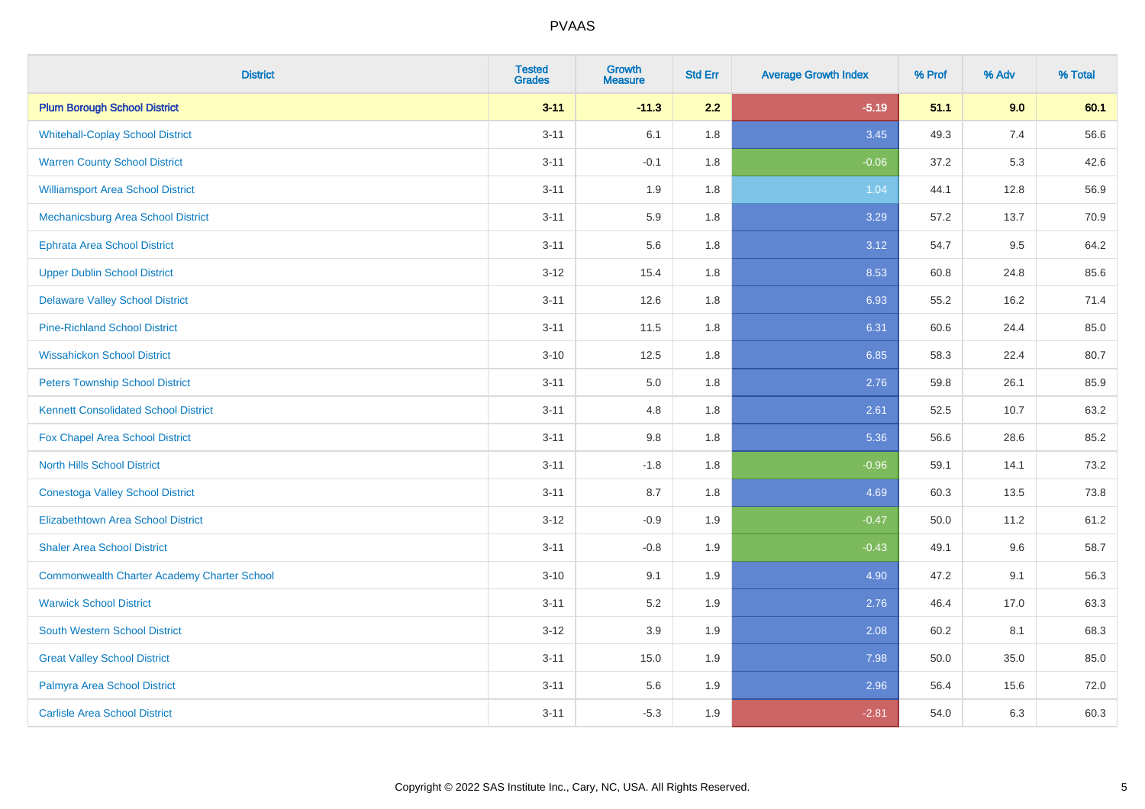| <b>District</b>                                    | <b>Tested</b><br><b>Grades</b> | <b>Growth</b><br><b>Measure</b> | <b>Std Err</b> | <b>Average Growth Index</b> | % Prof | % Adv | % Total |
|----------------------------------------------------|--------------------------------|---------------------------------|----------------|-----------------------------|--------|-------|---------|
| <b>Plum Borough School District</b>                | $3 - 11$                       | $-11.3$                         | 2.2            | $-5.19$                     | 51.1   | 9.0   | 60.1    |
| <b>Whitehall-Coplay School District</b>            | $3 - 11$                       | 6.1                             | 1.8            | 3.45                        | 49.3   | 7.4   | 56.6    |
| <b>Warren County School District</b>               | $3 - 11$                       | $-0.1$                          | 1.8            | $-0.06$                     | 37.2   | 5.3   | 42.6    |
| <b>Williamsport Area School District</b>           | $3 - 11$                       | 1.9                             | 1.8            | 1.04                        | 44.1   | 12.8  | 56.9    |
| Mechanicsburg Area School District                 | $3 - 11$                       | 5.9                             | 1.8            | 3.29                        | 57.2   | 13.7  | 70.9    |
| Ephrata Area School District                       | $3 - 11$                       | 5.6                             | 1.8            | 3.12                        | 54.7   | 9.5   | 64.2    |
| <b>Upper Dublin School District</b>                | $3 - 12$                       | 15.4                            | 1.8            | 8.53                        | 60.8   | 24.8  | 85.6    |
| <b>Delaware Valley School District</b>             | $3 - 11$                       | 12.6                            | 1.8            | 6.93                        | 55.2   | 16.2  | 71.4    |
| <b>Pine-Richland School District</b>               | $3 - 11$                       | 11.5                            | 1.8            | 6.31                        | 60.6   | 24.4  | 85.0    |
| <b>Wissahickon School District</b>                 | $3 - 10$                       | 12.5                            | 1.8            | 6.85                        | 58.3   | 22.4  | 80.7    |
| <b>Peters Township School District</b>             | $3 - 11$                       | 5.0                             | 1.8            | 2.76                        | 59.8   | 26.1  | 85.9    |
| <b>Kennett Consolidated School District</b>        | $3 - 11$                       | 4.8                             | 1.8            | 2.61                        | 52.5   | 10.7  | 63.2    |
| Fox Chapel Area School District                    | $3 - 11$                       | 9.8                             | 1.8            | 5.36                        | 56.6   | 28.6  | 85.2    |
| <b>North Hills School District</b>                 | $3 - 11$                       | $-1.8$                          | 1.8            | $-0.96$                     | 59.1   | 14.1  | 73.2    |
| <b>Conestoga Valley School District</b>            | $3 - 11$                       | 8.7                             | 1.8            | 4.69                        | 60.3   | 13.5  | 73.8    |
| <b>Elizabethtown Area School District</b>          | $3 - 12$                       | $-0.9$                          | 1.9            | $-0.47$                     | 50.0   | 11.2  | 61.2    |
| <b>Shaler Area School District</b>                 | $3 - 11$                       | $-0.8$                          | 1.9            | $-0.43$                     | 49.1   | 9.6   | 58.7    |
| <b>Commonwealth Charter Academy Charter School</b> | $3 - 10$                       | 9.1                             | 1.9            | 4.90                        | 47.2   | 9.1   | 56.3    |
| <b>Warwick School District</b>                     | $3 - 11$                       | 5.2                             | 1.9            | 2.76                        | 46.4   | 17.0  | 63.3    |
| <b>South Western School District</b>               | $3 - 12$                       | 3.9                             | 1.9            | 2.08                        | 60.2   | 8.1   | 68.3    |
| <b>Great Valley School District</b>                | $3 - 11$                       | 15.0                            | 1.9            | 7.98                        | 50.0   | 35.0  | 85.0    |
| Palmyra Area School District                       | $3 - 11$                       | 5.6                             | 1.9            | 2.96                        | 56.4   | 15.6  | 72.0    |
| <b>Carlisle Area School District</b>               | $3 - 11$                       | $-5.3$                          | 1.9            | $-2.81$                     | 54.0   | 6.3   | 60.3    |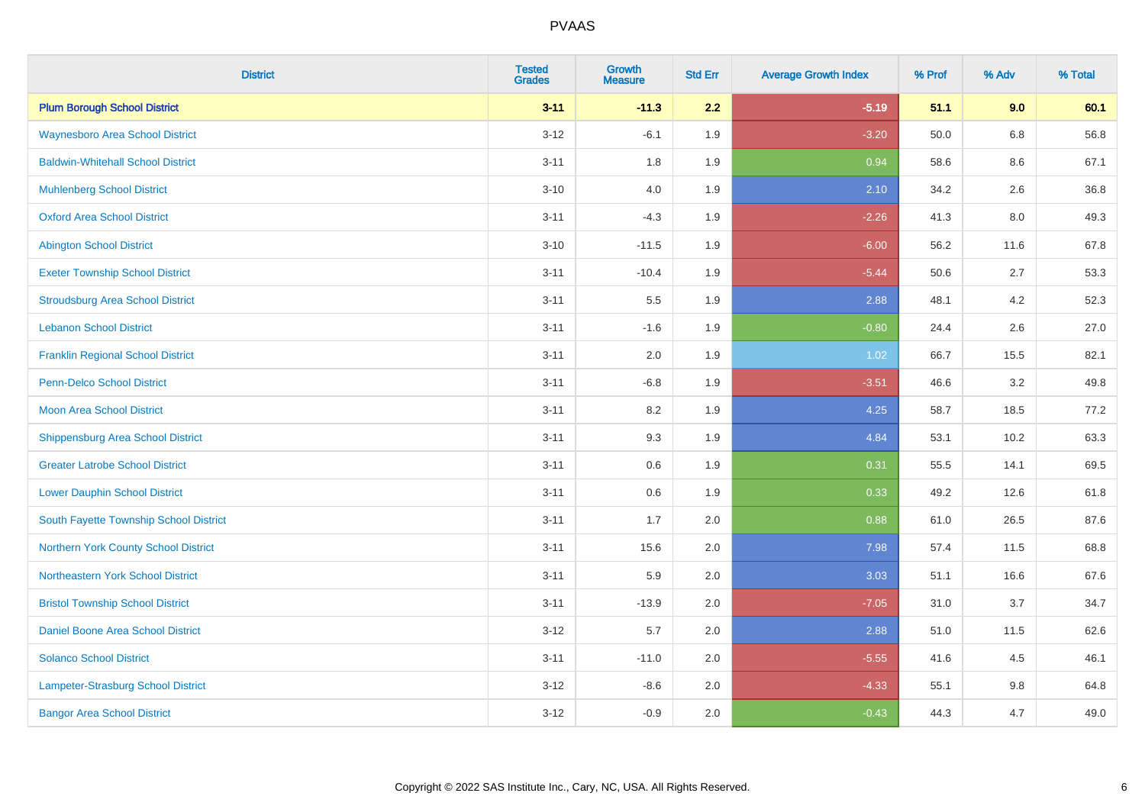| <b>District</b>                          | <b>Tested</b><br><b>Grades</b> | <b>Growth</b><br><b>Measure</b> | <b>Std Err</b> | <b>Average Growth Index</b> | % Prof | % Adv   | % Total |
|------------------------------------------|--------------------------------|---------------------------------|----------------|-----------------------------|--------|---------|---------|
| <b>Plum Borough School District</b>      | $3 - 11$                       | $-11.3$                         | 2.2            | $-5.19$                     | 51.1   | 9.0     | 60.1    |
| <b>Waynesboro Area School District</b>   | $3 - 12$                       | $-6.1$                          | 1.9            | $-3.20$                     | 50.0   | $6.8\,$ | 56.8    |
| <b>Baldwin-Whitehall School District</b> | $3 - 11$                       | 1.8                             | 1.9            | 0.94                        | 58.6   | 8.6     | 67.1    |
| <b>Muhlenberg School District</b>        | $3 - 10$                       | $4.0\,$                         | 1.9            | 2.10                        | 34.2   | 2.6     | 36.8    |
| <b>Oxford Area School District</b>       | $3 - 11$                       | $-4.3$                          | 1.9            | $-2.26$                     | 41.3   | 8.0     | 49.3    |
| <b>Abington School District</b>          | $3 - 10$                       | $-11.5$                         | 1.9            | $-6.00$                     | 56.2   | 11.6    | 67.8    |
| <b>Exeter Township School District</b>   | $3 - 11$                       | $-10.4$                         | 1.9            | $-5.44$                     | 50.6   | 2.7     | 53.3    |
| <b>Stroudsburg Area School District</b>  | $3 - 11$                       | $5.5\,$                         | 1.9            | 2.88                        | 48.1   | 4.2     | 52.3    |
| <b>Lebanon School District</b>           | $3 - 11$                       | $-1.6$                          | 1.9            | $-0.80$                     | 24.4   | 2.6     | 27.0    |
| <b>Franklin Regional School District</b> | $3 - 11$                       | 2.0                             | 1.9            | 1.02                        | 66.7   | 15.5    | 82.1    |
| <b>Penn-Delco School District</b>        | $3 - 11$                       | $-6.8$                          | 1.9            | $-3.51$                     | 46.6   | 3.2     | 49.8    |
| <b>Moon Area School District</b>         | $3 - 11$                       | 8.2                             | 1.9            | 4.25                        | 58.7   | 18.5    | 77.2    |
| <b>Shippensburg Area School District</b> | $3 - 11$                       | 9.3                             | 1.9            | 4.84                        | 53.1   | 10.2    | 63.3    |
| <b>Greater Latrobe School District</b>   | $3 - 11$                       | 0.6                             | 1.9            | 0.31                        | 55.5   | 14.1    | 69.5    |
| <b>Lower Dauphin School District</b>     | $3 - 11$                       | 0.6                             | 1.9            | 0.33                        | 49.2   | 12.6    | 61.8    |
| South Fayette Township School District   | $3 - 11$                       | 1.7                             | 2.0            | 0.88                        | 61.0   | 26.5    | 87.6    |
| Northern York County School District     | $3 - 11$                       | 15.6                            | 2.0            | 7.98                        | 57.4   | 11.5    | 68.8    |
| Northeastern York School District        | $3 - 11$                       | 5.9                             | 2.0            | 3.03                        | 51.1   | 16.6    | 67.6    |
| <b>Bristol Township School District</b>  | $3 - 11$                       | $-13.9$                         | 2.0            | $-7.05$                     | 31.0   | 3.7     | 34.7    |
| Daniel Boone Area School District        | $3 - 12$                       | 5.7                             | 2.0            | 2.88                        | 51.0   | 11.5    | 62.6    |
| <b>Solanco School District</b>           | $3 - 11$                       | $-11.0$                         | 2.0            | $-5.55$                     | 41.6   | 4.5     | 46.1    |
| Lampeter-Strasburg School District       | $3-12$                         | $-8.6$                          | 2.0            | $-4.33$                     | 55.1   | $9.8\,$ | 64.8    |
| <b>Bangor Area School District</b>       | $3 - 12$                       | $-0.9$                          | 2.0            | $-0.43$                     | 44.3   | 4.7     | 49.0    |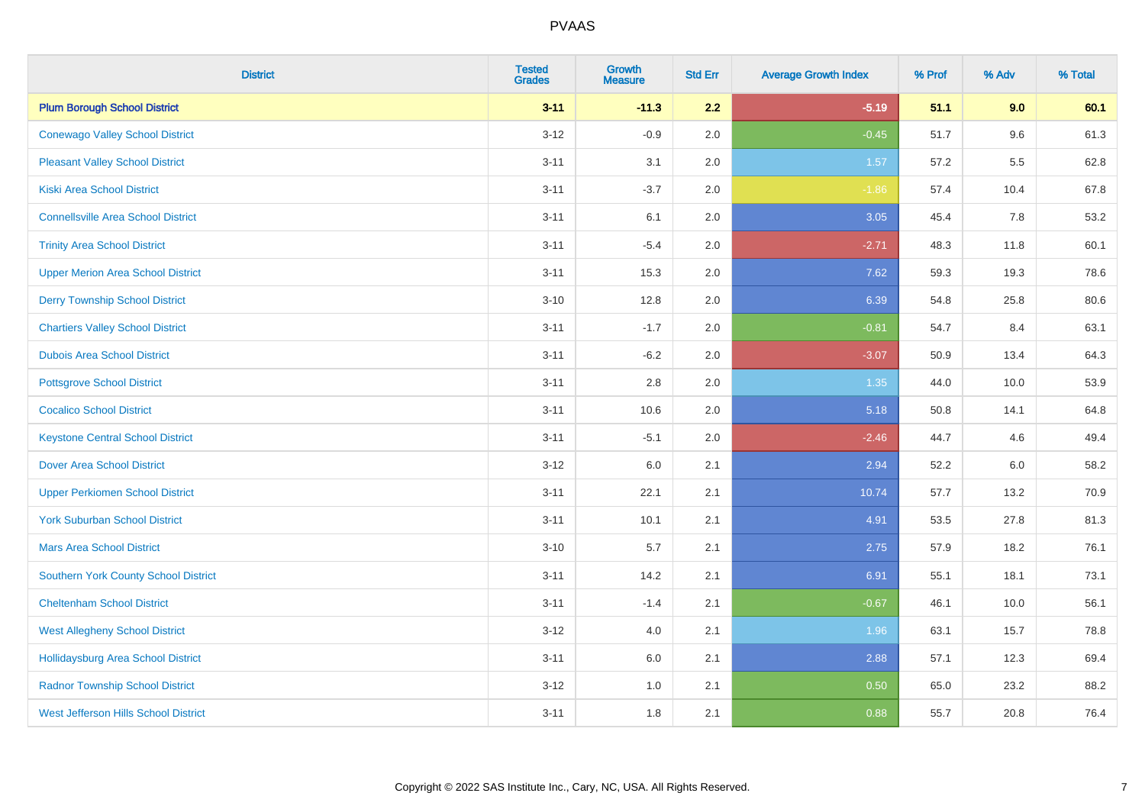| <b>District</b>                             | <b>Tested</b><br><b>Grades</b> | <b>Growth</b><br><b>Measure</b> | <b>Std Err</b> | <b>Average Growth Index</b> | % Prof | % Adv | % Total |
|---------------------------------------------|--------------------------------|---------------------------------|----------------|-----------------------------|--------|-------|---------|
| <b>Plum Borough School District</b>         | $3 - 11$                       | $-11.3$                         | 2.2            | $-5.19$                     | 51.1   | 9.0   | 60.1    |
| <b>Conewago Valley School District</b>      | $3 - 12$                       | $-0.9$                          | 2.0            | $-0.45$                     | 51.7   | 9.6   | 61.3    |
| <b>Pleasant Valley School District</b>      | $3 - 11$                       | 3.1                             | 2.0            | 1.57                        | 57.2   | 5.5   | 62.8    |
| <b>Kiski Area School District</b>           | $3 - 11$                       | $-3.7$                          | 2.0            | $-1.86$                     | 57.4   | 10.4  | 67.8    |
| <b>Connellsville Area School District</b>   | $3 - 11$                       | 6.1                             | 2.0            | 3.05                        | 45.4   | 7.8   | 53.2    |
| <b>Trinity Area School District</b>         | $3 - 11$                       | $-5.4$                          | 2.0            | $-2.71$                     | 48.3   | 11.8  | 60.1    |
| <b>Upper Merion Area School District</b>    | $3 - 11$                       | 15.3                            | 2.0            | 7.62                        | 59.3   | 19.3  | 78.6    |
| <b>Derry Township School District</b>       | $3 - 10$                       | 12.8                            | 2.0            | 6.39                        | 54.8   | 25.8  | 80.6    |
| <b>Chartiers Valley School District</b>     | $3 - 11$                       | $-1.7$                          | 2.0            | $-0.81$                     | 54.7   | 8.4   | 63.1    |
| <b>Dubois Area School District</b>          | $3 - 11$                       | $-6.2$                          | 2.0            | $-3.07$                     | 50.9   | 13.4  | 64.3    |
| <b>Pottsgrove School District</b>           | $3 - 11$                       | 2.8                             | 2.0            | 1.35                        | 44.0   | 10.0  | 53.9    |
| <b>Cocalico School District</b>             | $3 - 11$                       | 10.6                            | 2.0            | 5.18                        | 50.8   | 14.1  | 64.8    |
| <b>Keystone Central School District</b>     | $3 - 11$                       | $-5.1$                          | 2.0            | $-2.46$                     | 44.7   | 4.6   | 49.4    |
| <b>Dover Area School District</b>           | $3 - 12$                       | 6.0                             | 2.1            | 2.94                        | 52.2   | 6.0   | 58.2    |
| <b>Upper Perkiomen School District</b>      | $3 - 11$                       | 22.1                            | 2.1            | 10.74                       | 57.7   | 13.2  | 70.9    |
| <b>York Suburban School District</b>        | $3 - 11$                       | 10.1                            | 2.1            | 4.91                        | 53.5   | 27.8  | 81.3    |
| <b>Mars Area School District</b>            | $3 - 10$                       | 5.7                             | 2.1            | 2.75                        | 57.9   | 18.2  | 76.1    |
| <b>Southern York County School District</b> | $3 - 11$                       | 14.2                            | 2.1            | 6.91                        | 55.1   | 18.1  | 73.1    |
| <b>Cheltenham School District</b>           | $3 - 11$                       | $-1.4$                          | 2.1            | $-0.67$                     | 46.1   | 10.0  | 56.1    |
| <b>West Allegheny School District</b>       | $3 - 12$                       | 4.0                             | 2.1            | 1.96                        | 63.1   | 15.7  | 78.8    |
| <b>Hollidaysburg Area School District</b>   | $3 - 11$                       | 6.0                             | 2.1            | 2.88                        | 57.1   | 12.3  | 69.4    |
| <b>Radnor Township School District</b>      | $3 - 12$                       | 1.0                             | 2.1            | 0.50                        | 65.0   | 23.2  | 88.2    |
| <b>West Jefferson Hills School District</b> | $3 - 11$                       | 1.8                             | 2.1            | 0.88                        | 55.7   | 20.8  | 76.4    |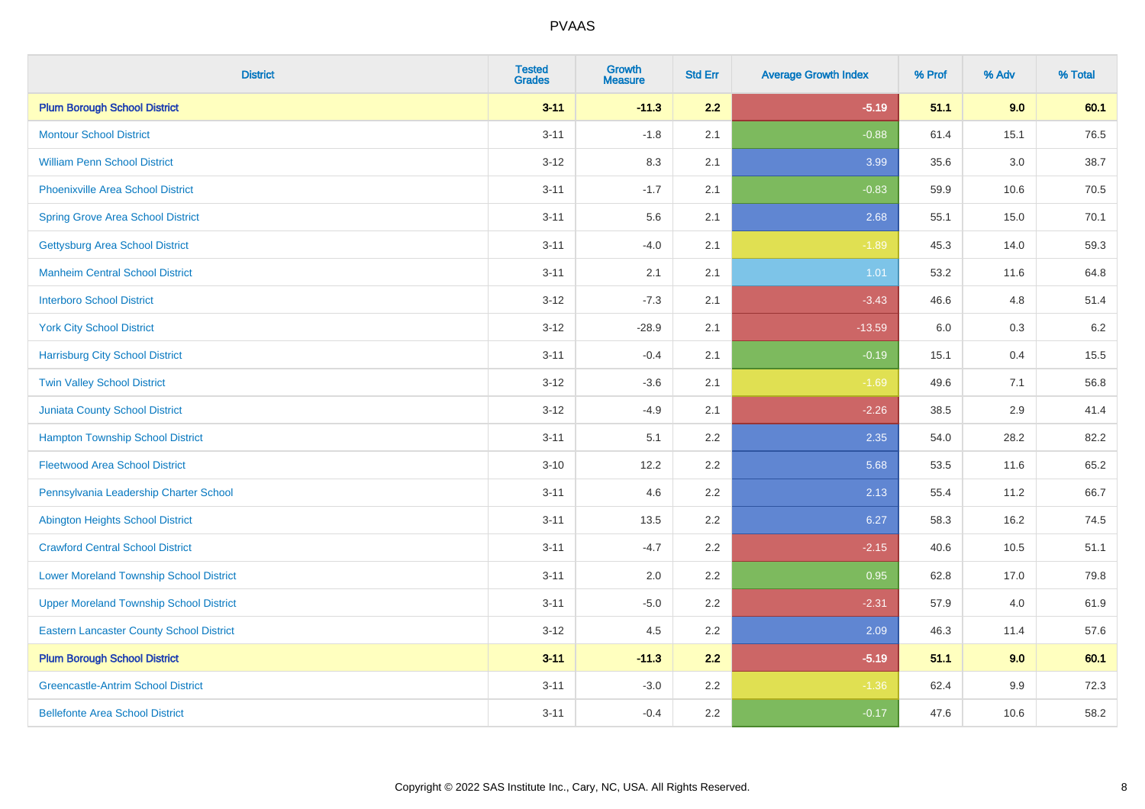| <b>District</b>                                 | <b>Tested</b><br><b>Grades</b> | <b>Growth</b><br><b>Measure</b> | <b>Std Err</b> | <b>Average Growth Index</b> | % Prof | % Adv   | % Total |
|-------------------------------------------------|--------------------------------|---------------------------------|----------------|-----------------------------|--------|---------|---------|
| <b>Plum Borough School District</b>             | $3 - 11$                       | $-11.3$                         | 2.2            | $-5.19$                     | 51.1   | 9.0     | 60.1    |
| <b>Montour School District</b>                  | $3 - 11$                       | $-1.8$                          | 2.1            | $-0.88$                     | 61.4   | 15.1    | 76.5    |
| <b>William Penn School District</b>             | $3 - 12$                       | 8.3                             | 2.1            | 3.99                        | 35.6   | $3.0\,$ | 38.7    |
| Phoenixville Area School District               | $3 - 11$                       | $-1.7$                          | 2.1            | $-0.83$                     | 59.9   | 10.6    | 70.5    |
| <b>Spring Grove Area School District</b>        | $3 - 11$                       | 5.6                             | 2.1            | 2.68                        | 55.1   | 15.0    | 70.1    |
| <b>Gettysburg Area School District</b>          | $3 - 11$                       | $-4.0$                          | 2.1            | $-1.89$                     | 45.3   | 14.0    | 59.3    |
| <b>Manheim Central School District</b>          | $3 - 11$                       | 2.1                             | 2.1            | 1.01                        | 53.2   | 11.6    | 64.8    |
| <b>Interboro School District</b>                | $3 - 12$                       | $-7.3$                          | 2.1            | $-3.43$                     | 46.6   | 4.8     | 51.4    |
| <b>York City School District</b>                | $3 - 12$                       | $-28.9$                         | 2.1            | $-13.59$                    | 6.0    | $0.3\,$ | 6.2     |
| <b>Harrisburg City School District</b>          | $3 - 11$                       | $-0.4$                          | 2.1            | $-0.19$                     | 15.1   | 0.4     | 15.5    |
| <b>Twin Valley School District</b>              | $3-12$                         | $-3.6$                          | 2.1            | $-1.69$                     | 49.6   | 7.1     | 56.8    |
| Juniata County School District                  | $3-12$                         | $-4.9$                          | 2.1            | $-2.26$                     | 38.5   | 2.9     | 41.4    |
| <b>Hampton Township School District</b>         | $3 - 11$                       | 5.1                             | 2.2            | 2.35                        | 54.0   | 28.2    | 82.2    |
| <b>Fleetwood Area School District</b>           | $3 - 10$                       | 12.2                            | 2.2            | 5.68                        | 53.5   | 11.6    | 65.2    |
| Pennsylvania Leadership Charter School          | $3 - 11$                       | 4.6                             | 2.2            | 2.13                        | 55.4   | 11.2    | 66.7    |
| <b>Abington Heights School District</b>         | $3 - 11$                       | 13.5                            | 2.2            | 6.27                        | 58.3   | 16.2    | 74.5    |
| <b>Crawford Central School District</b>         | $3 - 11$                       | $-4.7$                          | 2.2            | $-2.15$                     | 40.6   | 10.5    | 51.1    |
| <b>Lower Moreland Township School District</b>  | $3 - 11$                       | 2.0                             | 2.2            | 0.95                        | 62.8   | 17.0    | 79.8    |
| <b>Upper Moreland Township School District</b>  | $3 - 11$                       | $-5.0$                          | 2.2            | $-2.31$                     | 57.9   | 4.0     | 61.9    |
| <b>Eastern Lancaster County School District</b> | $3 - 12$                       | 4.5                             | 2.2            | 2.09                        | 46.3   | 11.4    | 57.6    |
| <b>Plum Borough School District</b>             | $3 - 11$                       | $-11.3$                         | 2.2            | $-5.19$                     | 51.1   | 9.0     | 60.1    |
| <b>Greencastle-Antrim School District</b>       | $3 - 11$                       | $-3.0$                          | 2.2            | $-1.36$                     | 62.4   | 9.9     | 72.3    |
| <b>Bellefonte Area School District</b>          | $3 - 11$                       | $-0.4$                          | 2.2            | $-0.17$                     | 47.6   | 10.6    | 58.2    |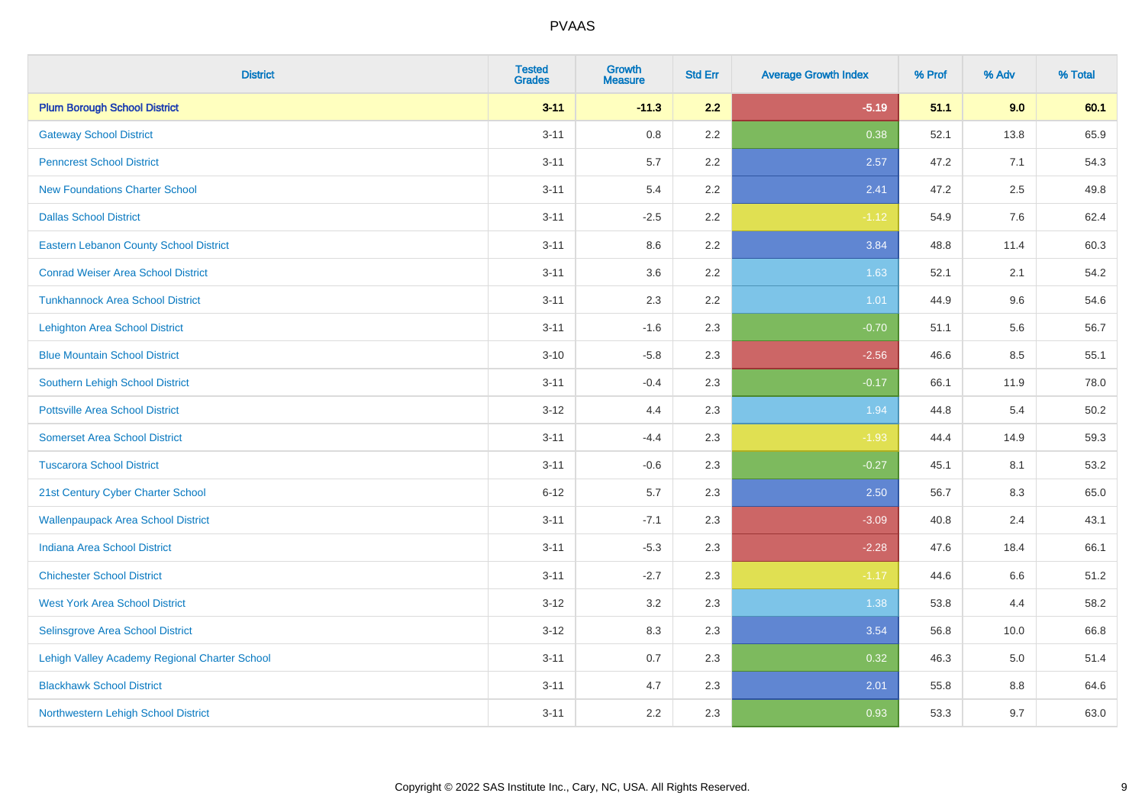| <b>District</b>                               | <b>Tested</b><br><b>Grades</b> | <b>Growth</b><br><b>Measure</b> | <b>Std Err</b> | <b>Average Growth Index</b> | % Prof | % Adv | % Total |
|-----------------------------------------------|--------------------------------|---------------------------------|----------------|-----------------------------|--------|-------|---------|
| <b>Plum Borough School District</b>           | $3 - 11$                       | $-11.3$                         | 2.2            | $-5.19$                     | 51.1   | 9.0   | 60.1    |
| <b>Gateway School District</b>                | $3 - 11$                       | 0.8                             | 2.2            | 0.38                        | 52.1   | 13.8  | 65.9    |
| <b>Penncrest School District</b>              | $3 - 11$                       | 5.7                             | 2.2            | 2.57                        | 47.2   | 7.1   | 54.3    |
| <b>New Foundations Charter School</b>         | $3 - 11$                       | 5.4                             | 2.2            | 2.41                        | 47.2   | 2.5   | 49.8    |
| <b>Dallas School District</b>                 | $3 - 11$                       | $-2.5$                          | 2.2            | $-1.12$                     | 54.9   | 7.6   | 62.4    |
| <b>Eastern Lebanon County School District</b> | $3 - 11$                       | 8.6                             | 2.2            | 3.84                        | 48.8   | 11.4  | 60.3    |
| <b>Conrad Weiser Area School District</b>     | $3 - 11$                       | 3.6                             | 2.2            | 1.63                        | 52.1   | 2.1   | 54.2    |
| <b>Tunkhannock Area School District</b>       | $3 - 11$                       | 2.3                             | 2.2            | 1.01                        | 44.9   | 9.6   | 54.6    |
| <b>Lehighton Area School District</b>         | $3 - 11$                       | $-1.6$                          | 2.3            | $-0.70$                     | 51.1   | 5.6   | 56.7    |
| <b>Blue Mountain School District</b>          | $3 - 10$                       | $-5.8$                          | 2.3            | $-2.56$                     | 46.6   | 8.5   | 55.1    |
| Southern Lehigh School District               | $3 - 11$                       | $-0.4$                          | 2.3            | $-0.17$                     | 66.1   | 11.9  | 78.0    |
| <b>Pottsville Area School District</b>        | $3 - 12$                       | 4.4                             | 2.3            | 1.94                        | 44.8   | 5.4   | 50.2    |
| <b>Somerset Area School District</b>          | $3 - 11$                       | $-4.4$                          | 2.3            | $-1.93$                     | 44.4   | 14.9  | 59.3    |
| <b>Tuscarora School District</b>              | $3 - 11$                       | $-0.6$                          | 2.3            | $-0.27$                     | 45.1   | 8.1   | 53.2    |
| 21st Century Cyber Charter School             | $6 - 12$                       | 5.7                             | 2.3            | 2.50                        | 56.7   | 8.3   | 65.0    |
| <b>Wallenpaupack Area School District</b>     | $3 - 11$                       | $-7.1$                          | 2.3            | $-3.09$                     | 40.8   | 2.4   | 43.1    |
| <b>Indiana Area School District</b>           | $3 - 11$                       | $-5.3$                          | 2.3            | $-2.28$                     | 47.6   | 18.4  | 66.1    |
| <b>Chichester School District</b>             | $3 - 11$                       | $-2.7$                          | 2.3            | $-1.17$                     | 44.6   | 6.6   | 51.2    |
| <b>West York Area School District</b>         | $3 - 12$                       | 3.2                             | 2.3            | 1.38                        | 53.8   | 4.4   | 58.2    |
| Selinsgrove Area School District              | $3 - 12$                       | 8.3                             | 2.3            | 3.54                        | 56.8   | 10.0  | 66.8    |
| Lehigh Valley Academy Regional Charter School | $3 - 11$                       | 0.7                             | 2.3            | 0.32                        | 46.3   | 5.0   | 51.4    |
| <b>Blackhawk School District</b>              | $3 - 11$                       | 4.7                             | 2.3            | 2.01                        | 55.8   | 8.8   | 64.6    |
| Northwestern Lehigh School District           | $3 - 11$                       | 2.2                             | 2.3            | 0.93                        | 53.3   | 9.7   | 63.0    |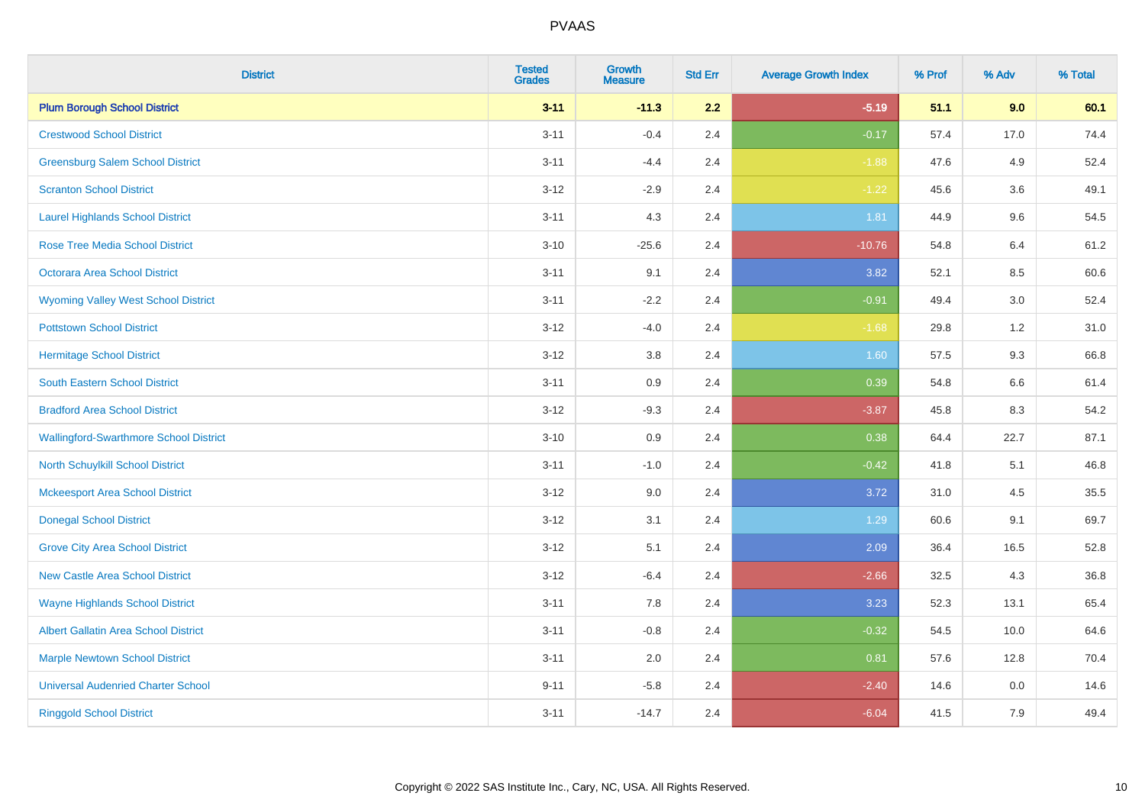| <b>District</b>                               | <b>Tested</b><br><b>Grades</b> | Growth<br><b>Measure</b> | <b>Std Err</b> | <b>Average Growth Index</b> | % Prof | % Adv   | % Total |
|-----------------------------------------------|--------------------------------|--------------------------|----------------|-----------------------------|--------|---------|---------|
| <b>Plum Borough School District</b>           | $3 - 11$                       | $-11.3$                  | 2.2            | $-5.19$                     | 51.1   | 9.0     | 60.1    |
| <b>Crestwood School District</b>              | $3 - 11$                       | $-0.4$                   | 2.4            | $-0.17$                     | 57.4   | 17.0    | 74.4    |
| <b>Greensburg Salem School District</b>       | $3 - 11$                       | $-4.4$                   | 2.4            | $-1.88$                     | 47.6   | 4.9     | 52.4    |
| <b>Scranton School District</b>               | $3 - 12$                       | $-2.9$                   | 2.4            | $-1.22$                     | 45.6   | 3.6     | 49.1    |
| <b>Laurel Highlands School District</b>       | $3 - 11$                       | 4.3                      | 2.4            | 1.81                        | 44.9   | 9.6     | 54.5    |
| <b>Rose Tree Media School District</b>        | $3 - 10$                       | $-25.6$                  | 2.4            | $-10.76$                    | 54.8   | 6.4     | 61.2    |
| Octorara Area School District                 | $3 - 11$                       | 9.1                      | 2.4            | 3.82                        | 52.1   | 8.5     | 60.6    |
| <b>Wyoming Valley West School District</b>    | $3 - 11$                       | $-2.2$                   | 2.4            | $-0.91$                     | 49.4   | 3.0     | 52.4    |
| <b>Pottstown School District</b>              | $3 - 12$                       | $-4.0$                   | 2.4            | $-1.68$                     | 29.8   | 1.2     | 31.0    |
| <b>Hermitage School District</b>              | $3 - 12$                       | 3.8                      | 2.4            | 1.60                        | 57.5   | 9.3     | 66.8    |
| South Eastern School District                 | $3 - 11$                       | 0.9                      | 2.4            | 0.39                        | 54.8   | 6.6     | 61.4    |
| <b>Bradford Area School District</b>          | $3-12$                         | $-9.3$                   | 2.4            | $-3.87$                     | 45.8   | 8.3     | 54.2    |
| <b>Wallingford-Swarthmore School District</b> | $3 - 10$                       | 0.9                      | 2.4            | 0.38                        | 64.4   | 22.7    | 87.1    |
| <b>North Schuylkill School District</b>       | $3 - 11$                       | $-1.0$                   | 2.4            | $-0.42$                     | 41.8   | 5.1     | 46.8    |
| <b>Mckeesport Area School District</b>        | $3 - 12$                       | 9.0                      | 2.4            | 3.72                        | 31.0   | 4.5     | 35.5    |
| <b>Donegal School District</b>                | $3 - 12$                       | 3.1                      | 2.4            | 1.29                        | 60.6   | 9.1     | 69.7    |
| <b>Grove City Area School District</b>        | $3 - 12$                       | 5.1                      | 2.4            | 2.09                        | 36.4   | 16.5    | 52.8    |
| <b>New Castle Area School District</b>        | $3 - 12$                       | $-6.4$                   | 2.4            | $-2.66$                     | 32.5   | 4.3     | 36.8    |
| <b>Wayne Highlands School District</b>        | $3 - 11$                       | 7.8                      | 2.4            | 3.23                        | 52.3   | 13.1    | 65.4    |
| Albert Gallatin Area School District          | $3 - 11$                       | $-0.8$                   | 2.4            | $-0.32$                     | 54.5   | 10.0    | 64.6    |
| <b>Marple Newtown School District</b>         | $3 - 11$                       | 2.0                      | 2.4            | 0.81                        | 57.6   | 12.8    | 70.4    |
| <b>Universal Audenried Charter School</b>     | $9 - 11$                       | $-5.8$                   | 2.4            | $-2.40$                     | 14.6   | $0.0\,$ | 14.6    |
| <b>Ringgold School District</b>               | $3 - 11$                       | $-14.7$                  | 2.4            | $-6.04$                     | 41.5   | 7.9     | 49.4    |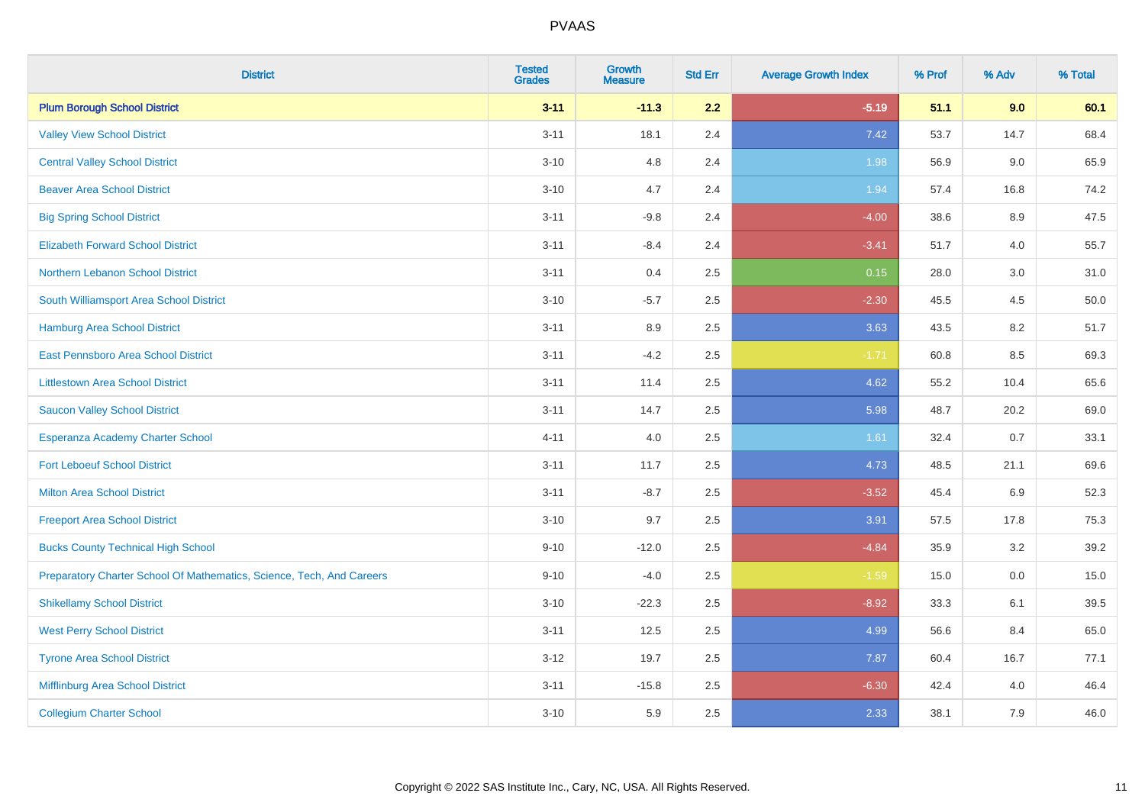| <b>District</b>                                                       | <b>Tested</b><br><b>Grades</b> | <b>Growth</b><br><b>Measure</b> | <b>Std Err</b> | <b>Average Growth Index</b> | % Prof | % Adv   | % Total |
|-----------------------------------------------------------------------|--------------------------------|---------------------------------|----------------|-----------------------------|--------|---------|---------|
| <b>Plum Borough School District</b>                                   | $3 - 11$                       | $-11.3$                         | 2.2            | $-5.19$                     | 51.1   | 9.0     | 60.1    |
| <b>Valley View School District</b>                                    | $3 - 11$                       | 18.1                            | 2.4            | 7.42                        | 53.7   | 14.7    | 68.4    |
| <b>Central Valley School District</b>                                 | $3 - 10$                       | 4.8                             | 2.4            | 1.98                        | 56.9   | 9.0     | 65.9    |
| <b>Beaver Area School District</b>                                    | $3 - 10$                       | 4.7                             | 2.4            | 1.94                        | 57.4   | 16.8    | 74.2    |
| <b>Big Spring School District</b>                                     | $3 - 11$                       | $-9.8$                          | 2.4            | $-4.00$                     | 38.6   | 8.9     | 47.5    |
| <b>Elizabeth Forward School District</b>                              | $3 - 11$                       | $-8.4$                          | 2.4            | $-3.41$                     | 51.7   | 4.0     | 55.7    |
| Northern Lebanon School District                                      | $3 - 11$                       | 0.4                             | 2.5            | 0.15                        | 28.0   | $3.0\,$ | 31.0    |
| South Williamsport Area School District                               | $3 - 10$                       | $-5.7$                          | 2.5            | $-2.30$                     | 45.5   | 4.5     | 50.0    |
| Hamburg Area School District                                          | $3 - 11$                       | 8.9                             | 2.5            | 3.63                        | 43.5   | 8.2     | 51.7    |
| <b>East Pennsboro Area School District</b>                            | $3 - 11$                       | $-4.2$                          | 2.5            | $-1.71$                     | 60.8   | 8.5     | 69.3    |
| <b>Littlestown Area School District</b>                               | $3 - 11$                       | 11.4                            | 2.5            | 4.62                        | 55.2   | 10.4    | 65.6    |
| <b>Saucon Valley School District</b>                                  | $3 - 11$                       | 14.7                            | 2.5            | 5.98                        | 48.7   | 20.2    | 69.0    |
| Esperanza Academy Charter School                                      | $4 - 11$                       | 4.0                             | 2.5            | 1.61                        | 32.4   | 0.7     | 33.1    |
| <b>Fort Leboeuf School District</b>                                   | $3 - 11$                       | 11.7                            | 2.5            | 4.73                        | 48.5   | 21.1    | 69.6    |
| <b>Milton Area School District</b>                                    | $3 - 11$                       | $-8.7$                          | 2.5            | $-3.52$                     | 45.4   | 6.9     | 52.3    |
| <b>Freeport Area School District</b>                                  | $3 - 10$                       | 9.7                             | 2.5            | 3.91                        | 57.5   | 17.8    | 75.3    |
| <b>Bucks County Technical High School</b>                             | $9 - 10$                       | $-12.0$                         | 2.5            | $-4.84$                     | 35.9   | 3.2     | 39.2    |
| Preparatory Charter School Of Mathematics, Science, Tech, And Careers | $9 - 10$                       | $-4.0$                          | 2.5            | $-1.59$                     | 15.0   | 0.0     | 15.0    |
| <b>Shikellamy School District</b>                                     | $3 - 10$                       | $-22.3$                         | 2.5            | $-8.92$                     | 33.3   | 6.1     | 39.5    |
| <b>West Perry School District</b>                                     | $3 - 11$                       | 12.5                            | 2.5            | 4.99                        | 56.6   | 8.4     | 65.0    |
| <b>Tyrone Area School District</b>                                    | $3 - 12$                       | 19.7                            | 2.5            | 7.87                        | 60.4   | 16.7    | 77.1    |
| Mifflinburg Area School District                                      | $3 - 11$                       | $-15.8$                         | 2.5            | $-6.30$                     | 42.4   | 4.0     | 46.4    |
| <b>Collegium Charter School</b>                                       | $3 - 10$                       | 5.9                             | 2.5            | 2.33                        | 38.1   | 7.9     | 46.0    |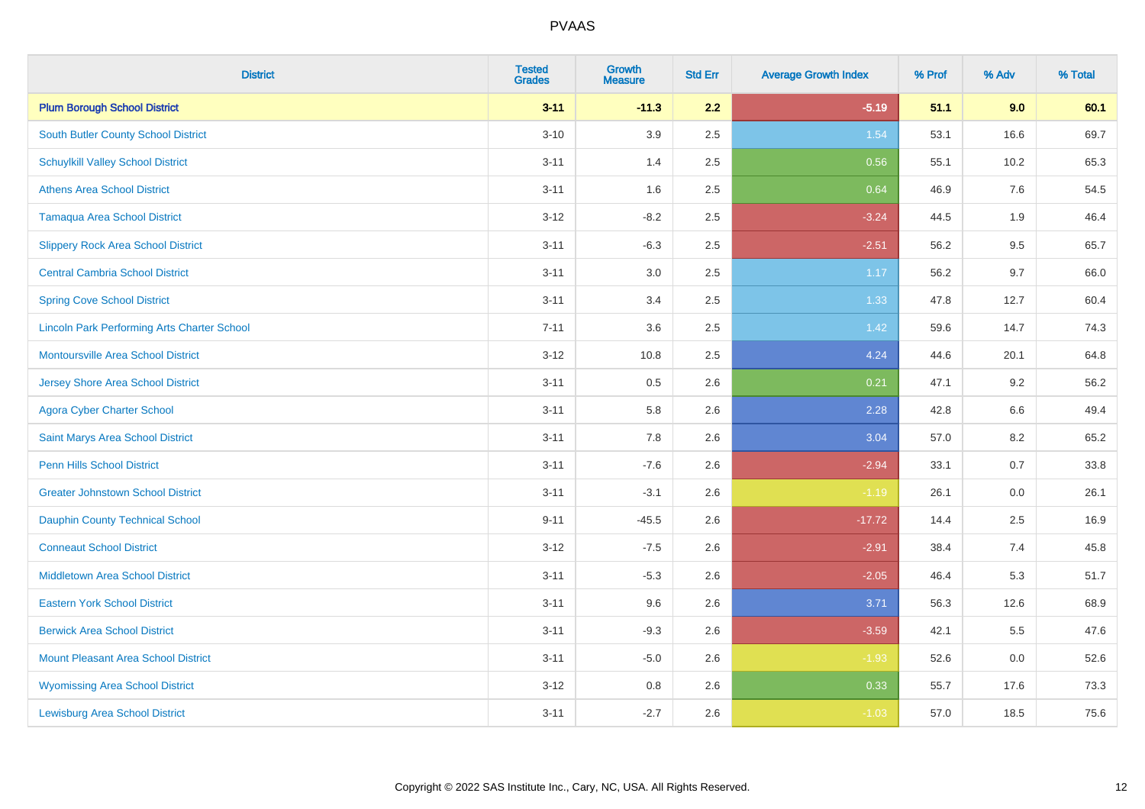| <b>District</b>                                    | <b>Tested</b><br><b>Grades</b> | <b>Growth</b><br><b>Measure</b> | <b>Std Err</b> | <b>Average Growth Index</b> | % Prof | % Adv   | % Total |
|----------------------------------------------------|--------------------------------|---------------------------------|----------------|-----------------------------|--------|---------|---------|
| <b>Plum Borough School District</b>                | $3 - 11$                       | $-11.3$                         | 2.2            | $-5.19$                     | 51.1   | 9.0     | 60.1    |
| South Butler County School District                | $3 - 10$                       | 3.9                             | 2.5            | 1.54                        | 53.1   | 16.6    | 69.7    |
| <b>Schuylkill Valley School District</b>           | $3 - 11$                       | 1.4                             | 2.5            | 0.56                        | 55.1   | 10.2    | 65.3    |
| <b>Athens Area School District</b>                 | $3 - 11$                       | 1.6                             | 2.5            | 0.64                        | 46.9   | 7.6     | 54.5    |
| <b>Tamaqua Area School District</b>                | $3-12$                         | $-8.2$                          | 2.5            | $-3.24$                     | 44.5   | 1.9     | 46.4    |
| <b>Slippery Rock Area School District</b>          | $3 - 11$                       | $-6.3$                          | 2.5            | $-2.51$                     | 56.2   | 9.5     | 65.7    |
| <b>Central Cambria School District</b>             | $3 - 11$                       | 3.0                             | 2.5            | 1.17                        | 56.2   | 9.7     | 66.0    |
| <b>Spring Cove School District</b>                 | $3 - 11$                       | 3.4                             | 2.5            | 1.33                        | 47.8   | 12.7    | 60.4    |
| <b>Lincoln Park Performing Arts Charter School</b> | $7 - 11$                       | 3.6                             | 2.5            | 1.42                        | 59.6   | 14.7    | 74.3    |
| <b>Montoursville Area School District</b>          | $3 - 12$                       | 10.8                            | 2.5            | 4.24                        | 44.6   | 20.1    | 64.8    |
| Jersey Shore Area School District                  | $3 - 11$                       | 0.5                             | 2.6            | 0.21                        | 47.1   | 9.2     | 56.2    |
| <b>Agora Cyber Charter School</b>                  | $3 - 11$                       | 5.8                             | 2.6            | 2.28                        | 42.8   | 6.6     | 49.4    |
| Saint Marys Area School District                   | $3 - 11$                       | $7.8\,$                         | 2.6            | 3.04                        | 57.0   | $8.2\,$ | 65.2    |
| <b>Penn Hills School District</b>                  | $3 - 11$                       | $-7.6$                          | 2.6            | $-2.94$                     | 33.1   | 0.7     | 33.8    |
| <b>Greater Johnstown School District</b>           | $3 - 11$                       | $-3.1$                          | 2.6            | $-1.19$                     | 26.1   | $0.0\,$ | 26.1    |
| Dauphin County Technical School                    | $9 - 11$                       | $-45.5$                         | 2.6            | $-17.72$                    | 14.4   | 2.5     | 16.9    |
| <b>Conneaut School District</b>                    | $3 - 12$                       | $-7.5$                          | 2.6            | $-2.91$                     | 38.4   | 7.4     | 45.8    |
| <b>Middletown Area School District</b>             | $3 - 11$                       | $-5.3$                          | 2.6            | $-2.05$                     | 46.4   | 5.3     | 51.7    |
| <b>Eastern York School District</b>                | $3 - 11$                       | 9.6                             | 2.6            | 3.71                        | 56.3   | 12.6    | 68.9    |
| <b>Berwick Area School District</b>                | $3 - 11$                       | $-9.3$                          | 2.6            | $-3.59$                     | 42.1   | 5.5     | 47.6    |
| <b>Mount Pleasant Area School District</b>         | $3 - 11$                       | $-5.0$                          | 2.6            | $-1.93$                     | 52.6   | 0.0     | 52.6    |
| <b>Wyomissing Area School District</b>             | $3 - 12$                       | 0.8                             | 2.6            | 0.33                        | 55.7   | 17.6    | 73.3    |
| <b>Lewisburg Area School District</b>              | $3 - 11$                       | $-2.7$                          | 2.6            | $-1.03$                     | 57.0   | 18.5    | 75.6    |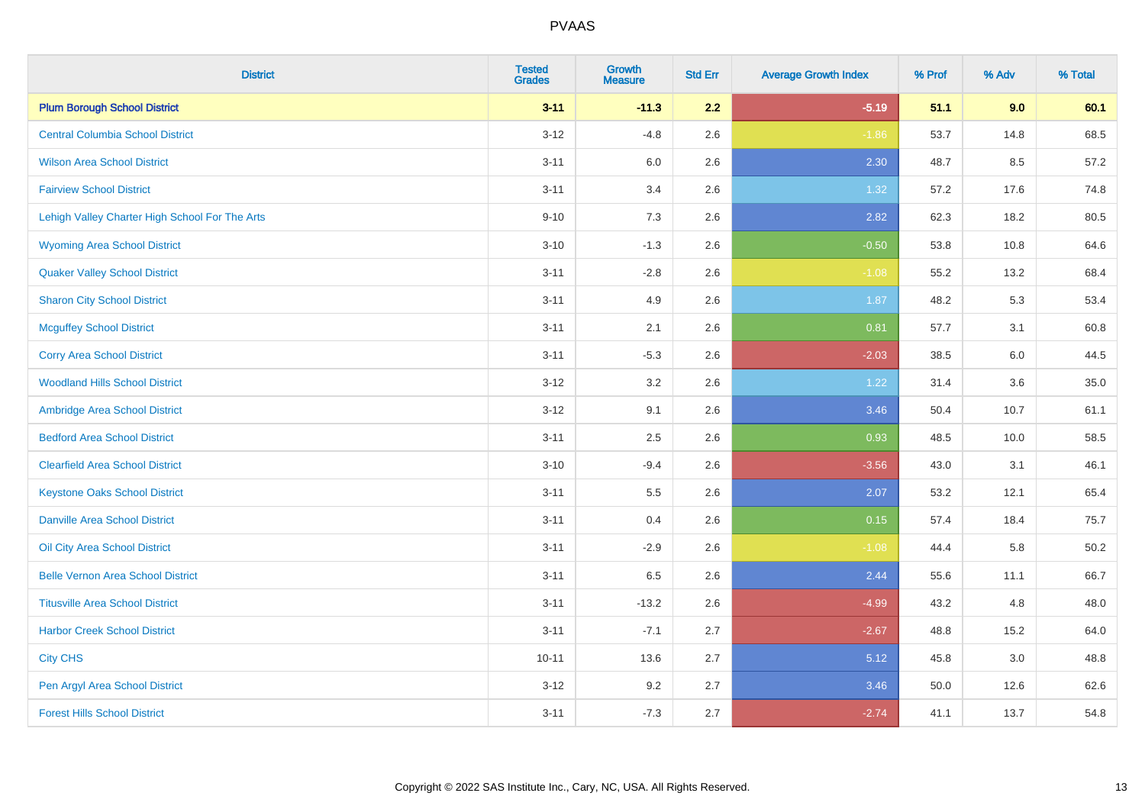| <b>District</b>                                | <b>Tested</b><br><b>Grades</b> | <b>Growth</b><br><b>Measure</b> | <b>Std Err</b> | <b>Average Growth Index</b> | % Prof | % Adv | % Total |
|------------------------------------------------|--------------------------------|---------------------------------|----------------|-----------------------------|--------|-------|---------|
| <b>Plum Borough School District</b>            | $3 - 11$                       | $-11.3$                         | 2.2            | $-5.19$                     | 51.1   | 9.0   | 60.1    |
| <b>Central Columbia School District</b>        | $3 - 12$                       | $-4.8$                          | 2.6            | $-1.86$                     | 53.7   | 14.8  | 68.5    |
| <b>Wilson Area School District</b>             | $3 - 11$                       | 6.0                             | 2.6            | 2.30                        | 48.7   | 8.5   | 57.2    |
| <b>Fairview School District</b>                | $3 - 11$                       | 3.4                             | 2.6            | 1.32                        | 57.2   | 17.6  | 74.8    |
| Lehigh Valley Charter High School For The Arts | $9 - 10$                       | 7.3                             | 2.6            | 2.82                        | 62.3   | 18.2  | 80.5    |
| <b>Wyoming Area School District</b>            | $3 - 10$                       | $-1.3$                          | 2.6            | $-0.50$                     | 53.8   | 10.8  | 64.6    |
| <b>Quaker Valley School District</b>           | $3 - 11$                       | $-2.8$                          | 2.6            | $-1.08$                     | 55.2   | 13.2  | 68.4    |
| <b>Sharon City School District</b>             | $3 - 11$                       | 4.9                             | 2.6            | 1.87                        | 48.2   | 5.3   | 53.4    |
| <b>Mcguffey School District</b>                | $3 - 11$                       | 2.1                             | 2.6            | 0.81                        | 57.7   | 3.1   | 60.8    |
| <b>Corry Area School District</b>              | $3 - 11$                       | $-5.3$                          | 2.6            | $-2.03$                     | 38.5   | 6.0   | 44.5    |
| <b>Woodland Hills School District</b>          | $3 - 12$                       | 3.2                             | 2.6            | 1.22                        | 31.4   | 3.6   | 35.0    |
| Ambridge Area School District                  | $3 - 12$                       | 9.1                             | 2.6            | 3.46                        | 50.4   | 10.7  | 61.1    |
| <b>Bedford Area School District</b>            | $3 - 11$                       | 2.5                             | 2.6            | 0.93                        | 48.5   | 10.0  | 58.5    |
| <b>Clearfield Area School District</b>         | $3 - 10$                       | $-9.4$                          | 2.6            | $-3.56$                     | 43.0   | 3.1   | 46.1    |
| <b>Keystone Oaks School District</b>           | $3 - 11$                       | $5.5\,$                         | 2.6            | 2.07                        | 53.2   | 12.1  | 65.4    |
| <b>Danville Area School District</b>           | $3 - 11$                       | 0.4                             | 2.6            | 0.15                        | 57.4   | 18.4  | 75.7    |
| Oil City Area School District                  | $3 - 11$                       | $-2.9$                          | 2.6            | $-1.08$                     | 44.4   | 5.8   | 50.2    |
| <b>Belle Vernon Area School District</b>       | $3 - 11$                       | 6.5                             | 2.6            | 2.44                        | 55.6   | 11.1  | 66.7    |
| <b>Titusville Area School District</b>         | $3 - 11$                       | $-13.2$                         | 2.6            | $-4.99$                     | 43.2   | 4.8   | 48.0    |
| <b>Harbor Creek School District</b>            | $3 - 11$                       | $-7.1$                          | 2.7            | $-2.67$                     | 48.8   | 15.2  | 64.0    |
| <b>City CHS</b>                                | $10 - 11$                      | 13.6                            | 2.7            | 5.12                        | 45.8   | 3.0   | 48.8    |
| Pen Argyl Area School District                 | $3-12$                         | 9.2                             | 2.7            | 3.46                        | 50.0   | 12.6  | 62.6    |
| <b>Forest Hills School District</b>            | $3 - 11$                       | $-7.3$                          | 2.7            | $-2.74$                     | 41.1   | 13.7  | 54.8    |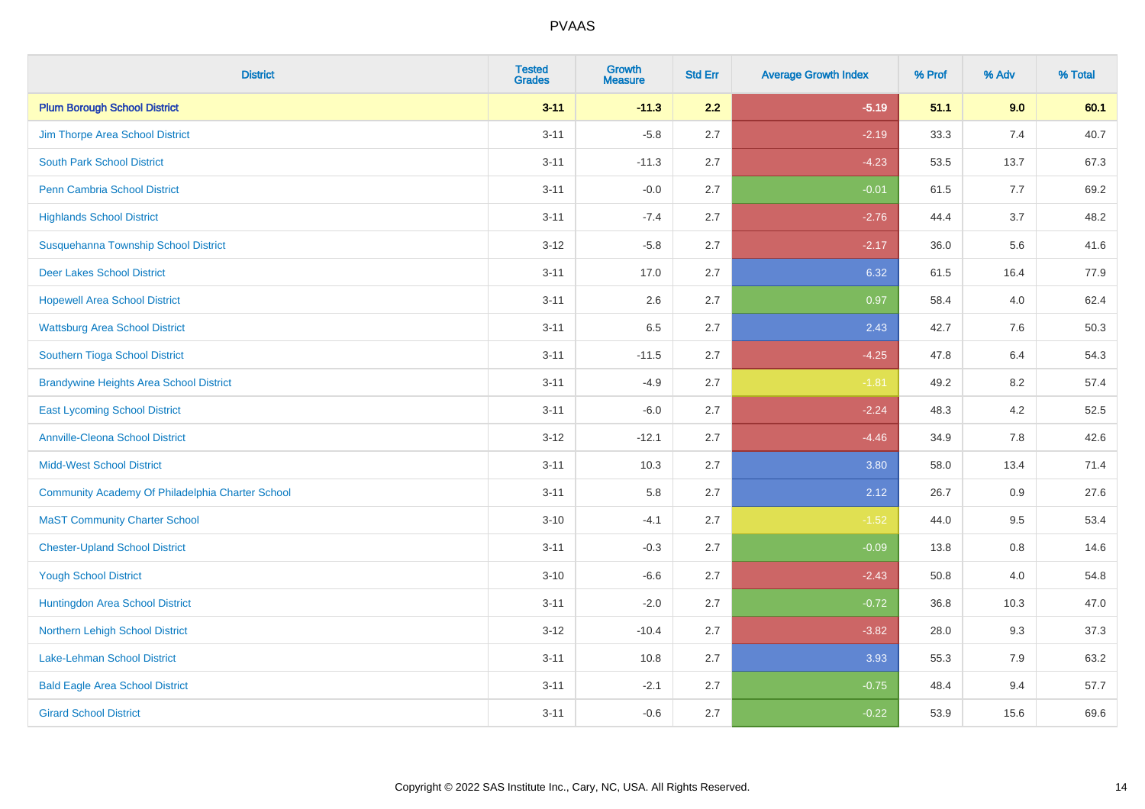| <b>District</b>                                  | <b>Tested</b><br><b>Grades</b> | <b>Growth</b><br><b>Measure</b> | <b>Std Err</b> | <b>Average Growth Index</b> | % Prof | % Adv | % Total |
|--------------------------------------------------|--------------------------------|---------------------------------|----------------|-----------------------------|--------|-------|---------|
| <b>Plum Borough School District</b>              | $3 - 11$                       | $-11.3$                         | 2.2            | $-5.19$                     | 51.1   | 9.0   | 60.1    |
| Jim Thorpe Area School District                  | $3 - 11$                       | $-5.8$                          | 2.7            | $-2.19$                     | 33.3   | 7.4   | 40.7    |
| <b>South Park School District</b>                | $3 - 11$                       | $-11.3$                         | 2.7            | $-4.23$                     | 53.5   | 13.7  | 67.3    |
| <b>Penn Cambria School District</b>              | $3 - 11$                       | $-0.0$                          | 2.7            | $-0.01$                     | 61.5   | 7.7   | 69.2    |
| <b>Highlands School District</b>                 | $3 - 11$                       | $-7.4$                          | 2.7            | $-2.76$                     | 44.4   | 3.7   | 48.2    |
| Susquehanna Township School District             | $3 - 12$                       | $-5.8$                          | 2.7            | $-2.17$                     | 36.0   | 5.6   | 41.6    |
| <b>Deer Lakes School District</b>                | $3 - 11$                       | 17.0                            | 2.7            | 6.32                        | 61.5   | 16.4  | 77.9    |
| <b>Hopewell Area School District</b>             | $3 - 11$                       | 2.6                             | 2.7            | 0.97                        | 58.4   | 4.0   | 62.4    |
| <b>Wattsburg Area School District</b>            | $3 - 11$                       | 6.5                             | 2.7            | 2.43                        | 42.7   | 7.6   | 50.3    |
| Southern Tioga School District                   | $3 - 11$                       | $-11.5$                         | 2.7            | $-4.25$                     | 47.8   | 6.4   | 54.3    |
| <b>Brandywine Heights Area School District</b>   | $3 - 11$                       | $-4.9$                          | 2.7            | $-1.81$                     | 49.2   | 8.2   | 57.4    |
| <b>East Lycoming School District</b>             | $3 - 11$                       | $-6.0$                          | 2.7            | $-2.24$                     | 48.3   | 4.2   | 52.5    |
| <b>Annville-Cleona School District</b>           | $3 - 12$                       | $-12.1$                         | 2.7            | $-4.46$                     | 34.9   | 7.8   | 42.6    |
| <b>Midd-West School District</b>                 | $3 - 11$                       | 10.3                            | 2.7            | 3.80                        | 58.0   | 13.4  | 71.4    |
| Community Academy Of Philadelphia Charter School | $3 - 11$                       | 5.8                             | 2.7            | 2.12                        | 26.7   | 0.9   | 27.6    |
| <b>MaST Community Charter School</b>             | $3 - 10$                       | $-4.1$                          | 2.7            | $-1.52$                     | 44.0   | 9.5   | 53.4    |
| <b>Chester-Upland School District</b>            | $3 - 11$                       | $-0.3$                          | 2.7            | $-0.09$                     | 13.8   | 0.8   | 14.6    |
| <b>Yough School District</b>                     | $3 - 10$                       | $-6.6$                          | 2.7            | $-2.43$                     | 50.8   | 4.0   | 54.8    |
| Huntingdon Area School District                  | $3 - 11$                       | $-2.0$                          | 2.7            | $-0.72$                     | 36.8   | 10.3  | 47.0    |
| Northern Lehigh School District                  | $3 - 12$                       | $-10.4$                         | 2.7            | $-3.82$                     | 28.0   | 9.3   | 37.3    |
| Lake-Lehman School District                      | $3 - 11$                       | 10.8                            | 2.7            | 3.93                        | 55.3   | 7.9   | 63.2    |
| <b>Bald Eagle Area School District</b>           | $3 - 11$                       | $-2.1$                          | 2.7            | $-0.75$                     | 48.4   | 9.4   | 57.7    |
| <b>Girard School District</b>                    | $3 - 11$                       | $-0.6$                          | 2.7            | $-0.22$                     | 53.9   | 15.6  | 69.6    |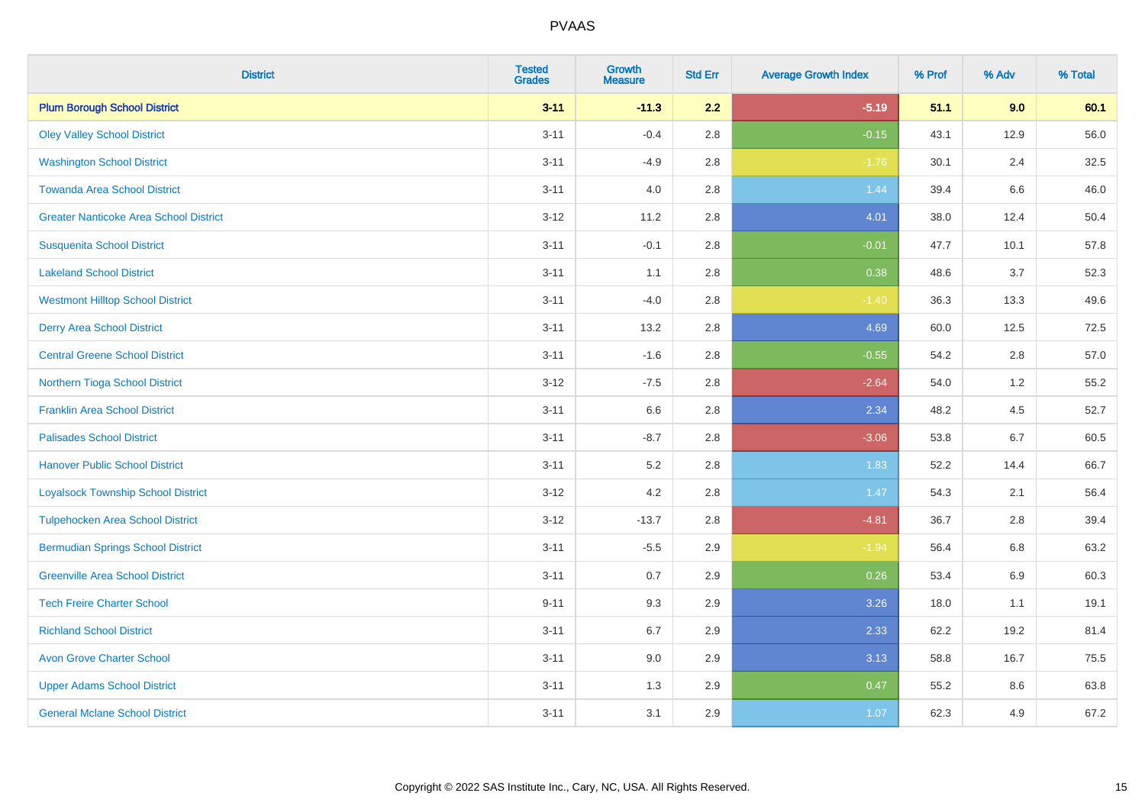| <b>District</b>                               | <b>Tested</b><br><b>Grades</b> | <b>Growth</b><br><b>Measure</b> | <b>Std Err</b> | <b>Average Growth Index</b> | % Prof | % Adv | % Total |
|-----------------------------------------------|--------------------------------|---------------------------------|----------------|-----------------------------|--------|-------|---------|
| <b>Plum Borough School District</b>           | $3 - 11$                       | $-11.3$                         | 2.2            | $-5.19$                     | 51.1   | 9.0   | 60.1    |
| <b>Oley Valley School District</b>            | $3 - 11$                       | $-0.4$                          | 2.8            | $-0.15$                     | 43.1   | 12.9  | 56.0    |
| <b>Washington School District</b>             | $3 - 11$                       | $-4.9$                          | 2.8            | $-1.76$                     | 30.1   | 2.4   | 32.5    |
| <b>Towanda Area School District</b>           | $3 - 11$                       | 4.0                             | 2.8            | 1.44                        | 39.4   | 6.6   | 46.0    |
| <b>Greater Nanticoke Area School District</b> | $3 - 12$                       | 11.2                            | 2.8            | 4.01                        | 38.0   | 12.4  | 50.4    |
| <b>Susquenita School District</b>             | $3 - 11$                       | $-0.1$                          | 2.8            | $-0.01$                     | 47.7   | 10.1  | 57.8    |
| <b>Lakeland School District</b>               | $3 - 11$                       | 1.1                             | 2.8            | 0.38                        | 48.6   | 3.7   | 52.3    |
| <b>Westmont Hilltop School District</b>       | $3 - 11$                       | $-4.0$                          | 2.8            | $-1.40$                     | 36.3   | 13.3  | 49.6    |
| <b>Derry Area School District</b>             | $3 - 11$                       | 13.2                            | 2.8            | 4.69                        | 60.0   | 12.5  | 72.5    |
| <b>Central Greene School District</b>         | $3 - 11$                       | $-1.6$                          | 2.8            | $-0.55$                     | 54.2   | 2.8   | 57.0    |
| Northern Tioga School District                | $3 - 12$                       | $-7.5$                          | 2.8            | $-2.64$                     | 54.0   | 1.2   | 55.2    |
| <b>Franklin Area School District</b>          | $3 - 11$                       | 6.6                             | 2.8            | 2.34                        | 48.2   | 4.5   | 52.7    |
| <b>Palisades School District</b>              | $3 - 11$                       | $-8.7$                          | 2.8            | $-3.06$                     | 53.8   | 6.7   | 60.5    |
| <b>Hanover Public School District</b>         | $3 - 11$                       | $5.2\,$                         | 2.8            | 1.83                        | 52.2   | 14.4  | 66.7    |
| <b>Loyalsock Township School District</b>     | $3-12$                         | 4.2                             | 2.8            | 1.47                        | 54.3   | 2.1   | 56.4    |
| <b>Tulpehocken Area School District</b>       | $3 - 12$                       | $-13.7$                         | 2.8            | $-4.81$                     | 36.7   | 2.8   | 39.4    |
| <b>Bermudian Springs School District</b>      | $3 - 11$                       | $-5.5$                          | 2.9            | $-1.94$                     | 56.4   | 6.8   | 63.2    |
| <b>Greenville Area School District</b>        | $3 - 11$                       | 0.7                             | 2.9            | 0.26                        | 53.4   | 6.9   | 60.3    |
| <b>Tech Freire Charter School</b>             | $9 - 11$                       | 9.3                             | 2.9            | 3.26                        | 18.0   | 1.1   | 19.1    |
| <b>Richland School District</b>               | $3 - 11$                       | 6.7                             | 2.9            | 2.33                        | 62.2   | 19.2  | 81.4    |
| <b>Avon Grove Charter School</b>              | $3 - 11$                       | 9.0                             | 2.9            | 3.13                        | 58.8   | 16.7  | 75.5    |
| <b>Upper Adams School District</b>            | $3 - 11$                       | 1.3                             | 2.9            | 0.47                        | 55.2   | 8.6   | 63.8    |
| <b>General Mclane School District</b>         | $3 - 11$                       | 3.1                             | 2.9            | 1.07                        | 62.3   | 4.9   | 67.2    |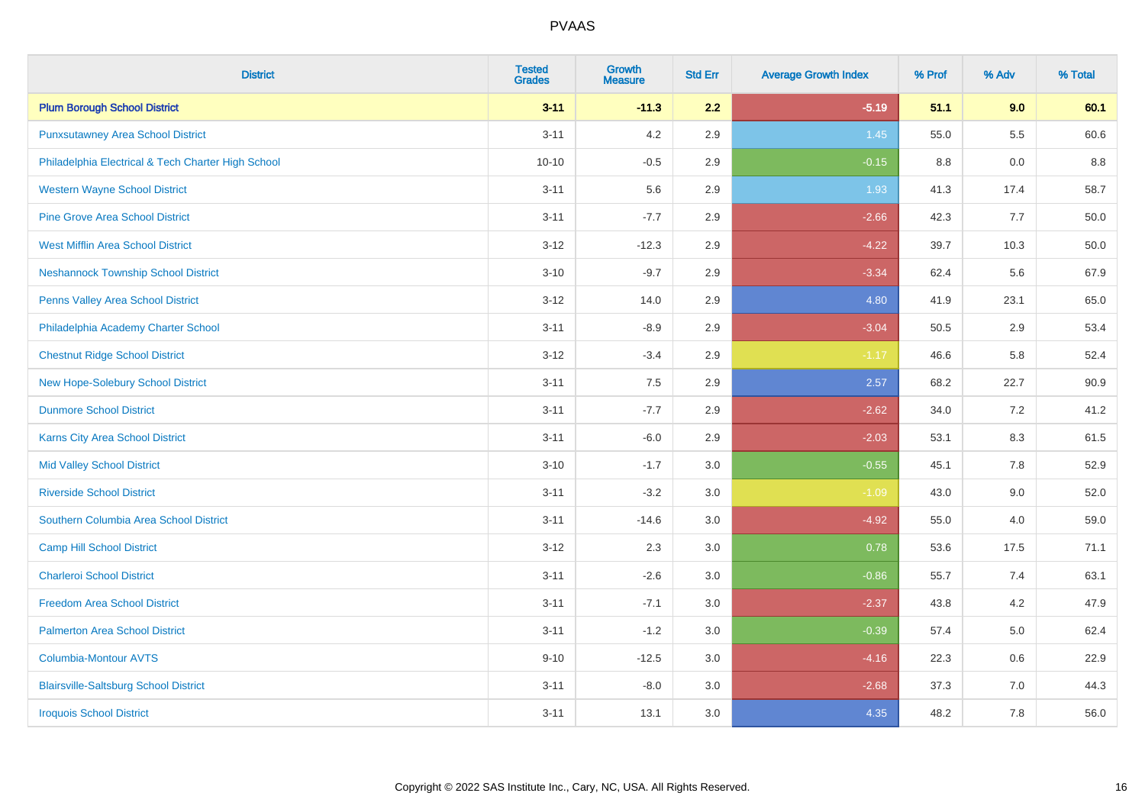| <b>District</b>                                    | <b>Tested</b><br><b>Grades</b> | <b>Growth</b><br><b>Measure</b> | <b>Std Err</b> | <b>Average Growth Index</b> | % Prof | % Adv | % Total |
|----------------------------------------------------|--------------------------------|---------------------------------|----------------|-----------------------------|--------|-------|---------|
| <b>Plum Borough School District</b>                | $3 - 11$                       | $-11.3$                         | 2.2            | $-5.19$                     | 51.1   | 9.0   | 60.1    |
| <b>Punxsutawney Area School District</b>           | $3 - 11$                       | 4.2                             | 2.9            | 1.45                        | 55.0   | 5.5   | 60.6    |
| Philadelphia Electrical & Tech Charter High School | $10 - 10$                      | $-0.5$                          | 2.9            | $-0.15$                     | 8.8    | 0.0   | 8.8     |
| <b>Western Wayne School District</b>               | $3 - 11$                       | 5.6                             | 2.9            | 1.93                        | 41.3   | 17.4  | 58.7    |
| <b>Pine Grove Area School District</b>             | $3 - 11$                       | $-7.7$                          | 2.9            | $-2.66$                     | 42.3   | 7.7   | 50.0    |
| <b>West Mifflin Area School District</b>           | $3 - 12$                       | $-12.3$                         | 2.9            | $-4.22$                     | 39.7   | 10.3  | 50.0    |
| <b>Neshannock Township School District</b>         | $3 - 10$                       | $-9.7$                          | 2.9            | $-3.34$                     | 62.4   | 5.6   | 67.9    |
| <b>Penns Valley Area School District</b>           | $3 - 12$                       | 14.0                            | 2.9            | 4.80                        | 41.9   | 23.1  | 65.0    |
| Philadelphia Academy Charter School                | $3 - 11$                       | $-8.9$                          | 2.9            | $-3.04$                     | 50.5   | 2.9   | 53.4    |
| <b>Chestnut Ridge School District</b>              | $3 - 12$                       | $-3.4$                          | 2.9            | $-1.17$                     | 46.6   | 5.8   | 52.4    |
| New Hope-Solebury School District                  | $3 - 11$                       | 7.5                             | 2.9            | 2.57                        | 68.2   | 22.7  | 90.9    |
| <b>Dunmore School District</b>                     | $3 - 11$                       | $-7.7$                          | 2.9            | $-2.62$                     | 34.0   | 7.2   | 41.2    |
| Karns City Area School District                    | $3 - 11$                       | $-6.0$                          | 2.9            | $-2.03$                     | 53.1   | 8.3   | 61.5    |
| <b>Mid Valley School District</b>                  | $3 - 10$                       | $-1.7$                          | 3.0            | $-0.55$                     | 45.1   | 7.8   | 52.9    |
| <b>Riverside School District</b>                   | $3 - 11$                       | $-3.2$                          | 3.0            | $-1.09$                     | 43.0   | 9.0   | 52.0    |
| Southern Columbia Area School District             | $3 - 11$                       | $-14.6$                         | 3.0            | $-4.92$                     | 55.0   | 4.0   | 59.0    |
| <b>Camp Hill School District</b>                   | $3 - 12$                       | 2.3                             | 3.0            | 0.78                        | 53.6   | 17.5  | 71.1    |
| <b>Charleroi School District</b>                   | $3 - 11$                       | $-2.6$                          | 3.0            | $-0.86$                     | 55.7   | 7.4   | 63.1    |
| <b>Freedom Area School District</b>                | $3 - 11$                       | $-7.1$                          | 3.0            | $-2.37$                     | 43.8   | 4.2   | 47.9    |
| <b>Palmerton Area School District</b>              | $3 - 11$                       | $-1.2$                          | 3.0            | $-0.39$                     | 57.4   | 5.0   | 62.4    |
| <b>Columbia-Montour AVTS</b>                       | $9 - 10$                       | $-12.5$                         | 3.0            | $-4.16$                     | 22.3   | 0.6   | 22.9    |
| <b>Blairsville-Saltsburg School District</b>       | $3 - 11$                       | $-8.0$                          | 3.0            | $-2.68$                     | 37.3   | 7.0   | 44.3    |
| <b>Iroquois School District</b>                    | $3 - 11$                       | 13.1                            | 3.0            | 4.35                        | 48.2   | 7.8   | 56.0    |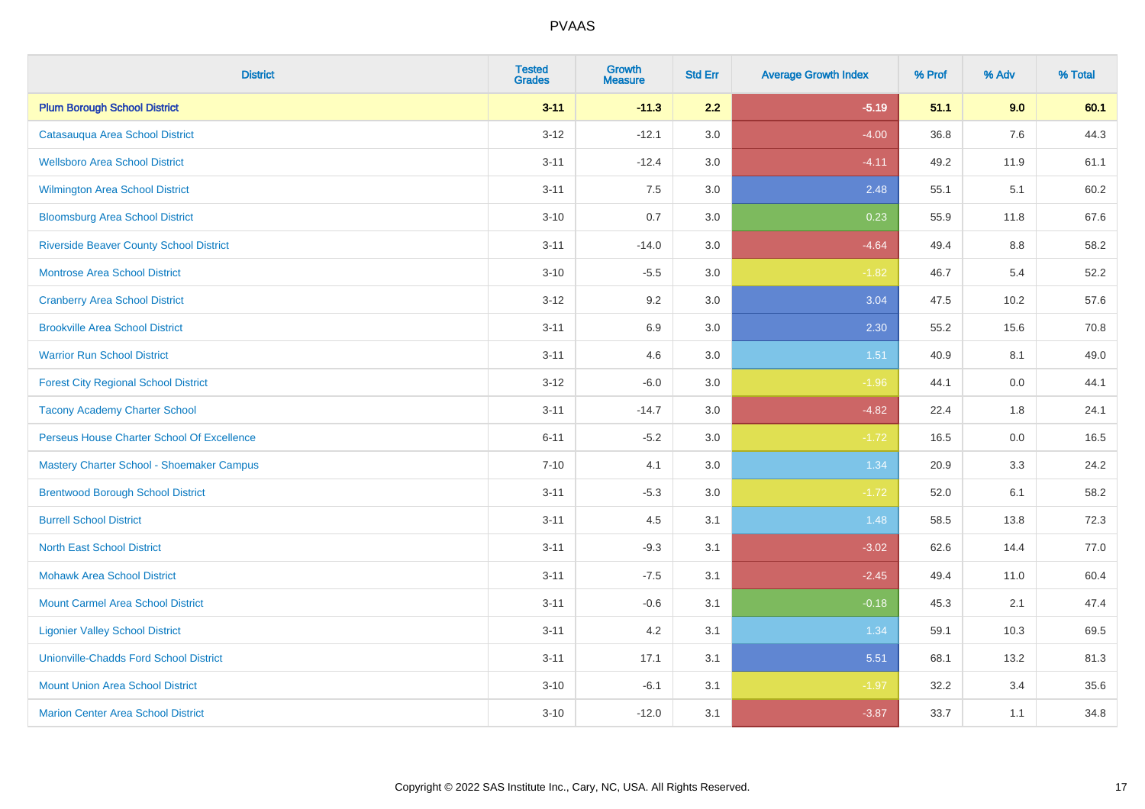| <b>District</b>                                | <b>Tested</b><br><b>Grades</b> | <b>Growth</b><br><b>Measure</b> | <b>Std Err</b> | <b>Average Growth Index</b> | % Prof | % Adv | % Total |
|------------------------------------------------|--------------------------------|---------------------------------|----------------|-----------------------------|--------|-------|---------|
| <b>Plum Borough School District</b>            | $3 - 11$                       | $-11.3$                         | 2.2            | $-5.19$                     | 51.1   | 9.0   | 60.1    |
| Catasauqua Area School District                | $3 - 12$                       | $-12.1$                         | 3.0            | $-4.00$                     | 36.8   | 7.6   | 44.3    |
| <b>Wellsboro Area School District</b>          | $3 - 11$                       | $-12.4$                         | 3.0            | $-4.11$                     | 49.2   | 11.9  | 61.1    |
| <b>Wilmington Area School District</b>         | $3 - 11$                       | 7.5                             | $3.0\,$        | 2.48                        | 55.1   | 5.1   | 60.2    |
| <b>Bloomsburg Area School District</b>         | $3 - 10$                       | 0.7                             | 3.0            | 0.23                        | 55.9   | 11.8  | 67.6    |
| <b>Riverside Beaver County School District</b> | $3 - 11$                       | $-14.0$                         | 3.0            | $-4.64$                     | 49.4   | 8.8   | 58.2    |
| Montrose Area School District                  | $3 - 10$                       | $-5.5$                          | 3.0            | $-1.82$                     | 46.7   | 5.4   | 52.2    |
| <b>Cranberry Area School District</b>          | $3 - 12$                       | 9.2                             | 3.0            | 3.04                        | 47.5   | 10.2  | 57.6    |
| <b>Brookville Area School District</b>         | $3 - 11$                       | 6.9                             | 3.0            | 2.30                        | 55.2   | 15.6  | 70.8    |
| <b>Warrior Run School District</b>             | $3 - 11$                       | 4.6                             | 3.0            | 1.51                        | 40.9   | 8.1   | 49.0    |
| <b>Forest City Regional School District</b>    | $3 - 12$                       | $-6.0$                          | 3.0            | $-1.96$                     | 44.1   | 0.0   | 44.1    |
| <b>Tacony Academy Charter School</b>           | $3 - 11$                       | $-14.7$                         | 3.0            | $-4.82$                     | 22.4   | 1.8   | 24.1    |
| Perseus House Charter School Of Excellence     | $6 - 11$                       | $-5.2$                          | 3.0            | $-1.72$                     | 16.5   | 0.0   | 16.5    |
| Mastery Charter School - Shoemaker Campus      | $7 - 10$                       | 4.1                             | 3.0            | 1.34                        | 20.9   | 3.3   | 24.2    |
| <b>Brentwood Borough School District</b>       | $3 - 11$                       | $-5.3$                          | 3.0            | $-1.72$                     | 52.0   | 6.1   | 58.2    |
| <b>Burrell School District</b>                 | $3 - 11$                       | 4.5                             | 3.1            | 1.48                        | 58.5   | 13.8  | 72.3    |
| <b>North East School District</b>              | $3 - 11$                       | $-9.3$                          | 3.1            | $-3.02$                     | 62.6   | 14.4  | 77.0    |
| <b>Mohawk Area School District</b>             | $3 - 11$                       | $-7.5$                          | 3.1            | $-2.45$                     | 49.4   | 11.0  | 60.4    |
| <b>Mount Carmel Area School District</b>       | $3 - 11$                       | $-0.6$                          | 3.1            | $-0.18$                     | 45.3   | 2.1   | 47.4    |
| <b>Ligonier Valley School District</b>         | $3 - 11$                       | 4.2                             | 3.1            | 1.34                        | 59.1   | 10.3  | 69.5    |
| <b>Unionville-Chadds Ford School District</b>  | $3 - 11$                       | 17.1                            | 3.1            | 5.51                        | 68.1   | 13.2  | 81.3    |
| <b>Mount Union Area School District</b>        | $3 - 10$                       | $-6.1$                          | 3.1            | $-1.97$                     | 32.2   | 3.4   | 35.6    |
| <b>Marion Center Area School District</b>      | $3 - 10$                       | $-12.0$                         | 3.1            | $-3.87$                     | 33.7   | 1.1   | 34.8    |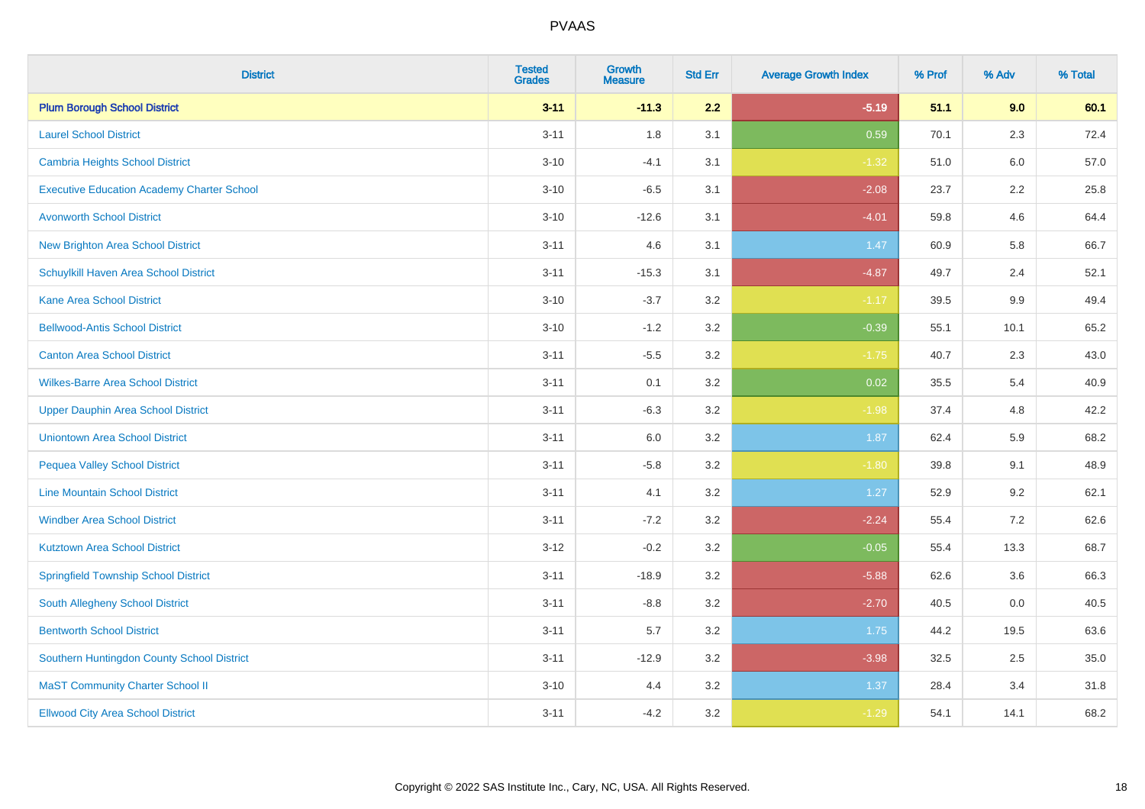| <b>District</b>                                   | <b>Tested</b><br><b>Grades</b> | <b>Growth</b><br><b>Measure</b> | <b>Std Err</b> | <b>Average Growth Index</b> | % Prof | % Adv   | % Total |
|---------------------------------------------------|--------------------------------|---------------------------------|----------------|-----------------------------|--------|---------|---------|
| <b>Plum Borough School District</b>               | $3 - 11$                       | $-11.3$                         | 2.2            | $-5.19$                     | 51.1   | 9.0     | 60.1    |
| <b>Laurel School District</b>                     | $3 - 11$                       | 1.8                             | 3.1            | 0.59                        | 70.1   | 2.3     | 72.4    |
| Cambria Heights School District                   | $3 - 10$                       | $-4.1$                          | 3.1            | $-1.32$                     | 51.0   | 6.0     | 57.0    |
| <b>Executive Education Academy Charter School</b> | $3 - 10$                       | $-6.5$                          | 3.1            | $-2.08$                     | 23.7   | $2.2\,$ | 25.8    |
| <b>Avonworth School District</b>                  | $3 - 10$                       | $-12.6$                         | 3.1            | $-4.01$                     | 59.8   | 4.6     | 64.4    |
| <b>New Brighton Area School District</b>          | $3 - 11$                       | 4.6                             | 3.1            | 1.47                        | 60.9   | 5.8     | 66.7    |
| Schuylkill Haven Area School District             | $3 - 11$                       | $-15.3$                         | 3.1            | $-4.87$                     | 49.7   | 2.4     | 52.1    |
| <b>Kane Area School District</b>                  | $3 - 10$                       | $-3.7$                          | 3.2            | $-1.17$                     | 39.5   | 9.9     | 49.4    |
| <b>Bellwood-Antis School District</b>             | $3 - 10$                       | $-1.2$                          | 3.2            | $-0.39$                     | 55.1   | 10.1    | 65.2    |
| <b>Canton Area School District</b>                | $3 - 11$                       | $-5.5$                          | 3.2            | $-1.75$                     | 40.7   | 2.3     | 43.0    |
| <b>Wilkes-Barre Area School District</b>          | $3 - 11$                       | 0.1                             | 3.2            | 0.02                        | 35.5   | 5.4     | 40.9    |
| <b>Upper Dauphin Area School District</b>         | $3 - 11$                       | $-6.3$                          | 3.2            | $-1.98$                     | 37.4   | 4.8     | 42.2    |
| <b>Uniontown Area School District</b>             | $3 - 11$                       | 6.0                             | $3.2\,$        | 1.87                        | 62.4   | 5.9     | 68.2    |
| <b>Pequea Valley School District</b>              | $3 - 11$                       | $-5.8$                          | 3.2            | $-1.80$                     | 39.8   | 9.1     | 48.9    |
| <b>Line Mountain School District</b>              | $3 - 11$                       | 4.1                             | 3.2            | 1.27                        | 52.9   | 9.2     | 62.1    |
| <b>Windber Area School District</b>               | $3 - 11$                       | $-7.2$                          | 3.2            | $-2.24$                     | 55.4   | 7.2     | 62.6    |
| <b>Kutztown Area School District</b>              | $3 - 12$                       | $-0.2$                          | 3.2            | $-0.05$                     | 55.4   | 13.3    | 68.7    |
| <b>Springfield Township School District</b>       | $3 - 11$                       | $-18.9$                         | 3.2            | $-5.88$                     | 62.6   | 3.6     | 66.3    |
| South Allegheny School District                   | $3 - 11$                       | $-8.8$                          | 3.2            | $-2.70$                     | 40.5   | 0.0     | 40.5    |
| <b>Bentworth School District</b>                  | $3 - 11$                       | 5.7                             | 3.2            | 1.75                        | 44.2   | 19.5    | 63.6    |
| Southern Huntingdon County School District        | $3 - 11$                       | $-12.9$                         | 3.2            | $-3.98$                     | 32.5   | 2.5     | 35.0    |
| <b>MaST Community Charter School II</b>           | $3 - 10$                       | 4.4                             | 3.2            | 1.37                        | 28.4   | 3.4     | 31.8    |
| <b>Ellwood City Area School District</b>          | $3 - 11$                       | $-4.2$                          | 3.2            | $-1.29$                     | 54.1   | 14.1    | 68.2    |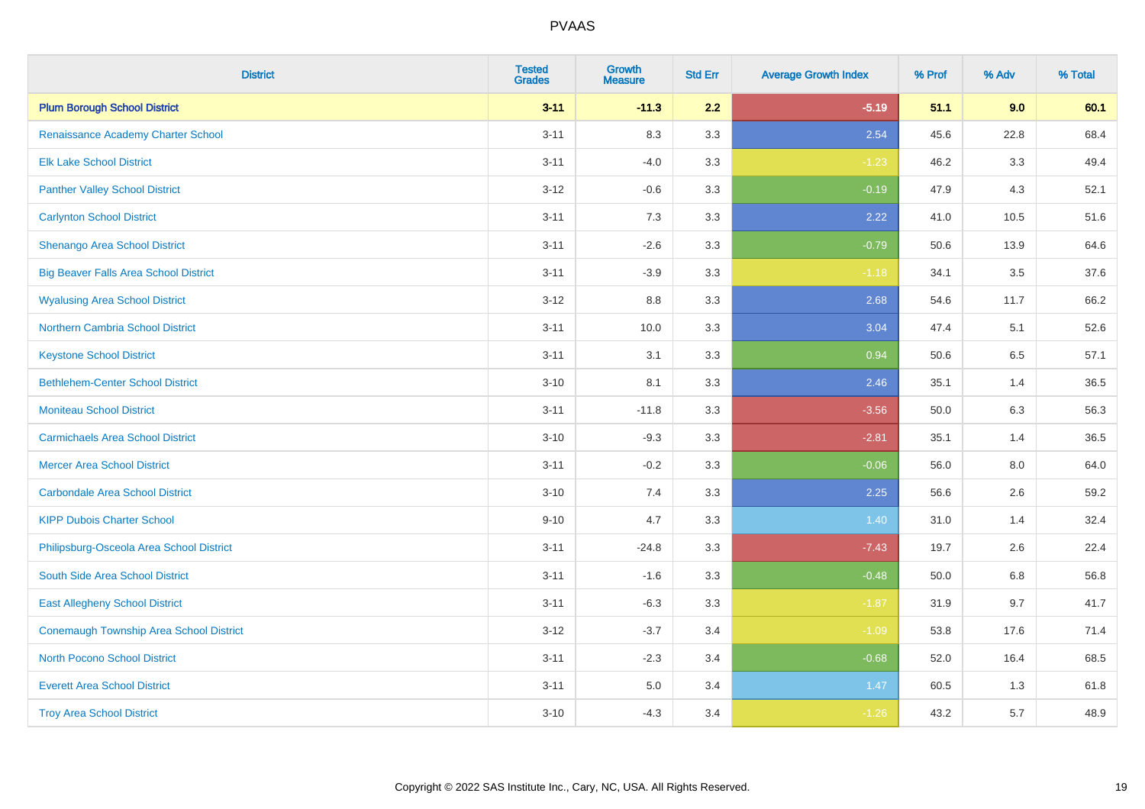| <b>District</b>                              | <b>Tested</b><br><b>Grades</b> | <b>Growth</b><br><b>Measure</b> | <b>Std Err</b> | <b>Average Growth Index</b> | % Prof | % Adv   | % Total |
|----------------------------------------------|--------------------------------|---------------------------------|----------------|-----------------------------|--------|---------|---------|
| <b>Plum Borough School District</b>          | $3 - 11$                       | $-11.3$                         | 2.2            | $-5.19$                     | 51.1   | 9.0     | 60.1    |
| Renaissance Academy Charter School           | $3 - 11$                       | 8.3                             | 3.3            | 2.54                        | 45.6   | 22.8    | 68.4    |
| <b>Elk Lake School District</b>              | $3 - 11$                       | $-4.0$                          | 3.3            | $-1.23$                     | 46.2   | 3.3     | 49.4    |
| <b>Panther Valley School District</b>        | $3 - 12$                       | $-0.6$                          | 3.3            | $-0.19$                     | 47.9   | 4.3     | 52.1    |
| <b>Carlynton School District</b>             | $3 - 11$                       | 7.3                             | 3.3            | 2.22                        | 41.0   | 10.5    | 51.6    |
| <b>Shenango Area School District</b>         | $3 - 11$                       | $-2.6$                          | 3.3            | $-0.79$                     | 50.6   | 13.9    | 64.6    |
| <b>Big Beaver Falls Area School District</b> | $3 - 11$                       | $-3.9$                          | 3.3            | $-1.18$                     | 34.1   | 3.5     | 37.6    |
| <b>Wyalusing Area School District</b>        | $3 - 12$                       | $8.8\,$                         | 3.3            | 2.68                        | 54.6   | 11.7    | 66.2    |
| <b>Northern Cambria School District</b>      | $3 - 11$                       | 10.0                            | 3.3            | 3.04                        | 47.4   | 5.1     | 52.6    |
| <b>Keystone School District</b>              | $3 - 11$                       | 3.1                             | 3.3            | 0.94                        | 50.6   | 6.5     | 57.1    |
| <b>Bethlehem-Center School District</b>      | $3 - 10$                       | 8.1                             | 3.3            | 2.46                        | 35.1   | 1.4     | 36.5    |
| <b>Moniteau School District</b>              | $3 - 11$                       | $-11.8$                         | 3.3            | $-3.56$                     | 50.0   | 6.3     | 56.3    |
| <b>Carmichaels Area School District</b>      | $3 - 10$                       | $-9.3$                          | 3.3            | $-2.81$                     | 35.1   | 1.4     | 36.5    |
| <b>Mercer Area School District</b>           | $3 - 11$                       | $-0.2$                          | 3.3            | $-0.06$                     | 56.0   | $8.0\,$ | 64.0    |
| <b>Carbondale Area School District</b>       | $3 - 10$                       | 7.4                             | 3.3            | 2.25                        | 56.6   | 2.6     | 59.2    |
| <b>KIPP Dubois Charter School</b>            | $9 - 10$                       | 4.7                             | 3.3            | 1.40                        | 31.0   | 1.4     | 32.4    |
| Philipsburg-Osceola Area School District     | $3 - 11$                       | $-24.8$                         | 3.3            | $-7.43$                     | 19.7   | 2.6     | 22.4    |
| South Side Area School District              | $3 - 11$                       | $-1.6$                          | 3.3            | $-0.48$                     | 50.0   | 6.8     | 56.8    |
| <b>East Allegheny School District</b>        | $3 - 11$                       | $-6.3$                          | 3.3            | $-1.87$                     | 31.9   | 9.7     | 41.7    |
| Conemaugh Township Area School District      | $3 - 12$                       | $-3.7$                          | 3.4            | $-1.09$                     | 53.8   | 17.6    | 71.4    |
| <b>North Pocono School District</b>          | $3 - 11$                       | $-2.3$                          | 3.4            | $-0.68$                     | 52.0   | 16.4    | 68.5    |
| <b>Everett Area School District</b>          | $3 - 11$                       | 5.0                             | 3.4            | 1.47                        | 60.5   | 1.3     | 61.8    |
| <b>Troy Area School District</b>             | $3 - 10$                       | $-4.3$                          | 3.4            | $-1.26$                     | 43.2   | 5.7     | 48.9    |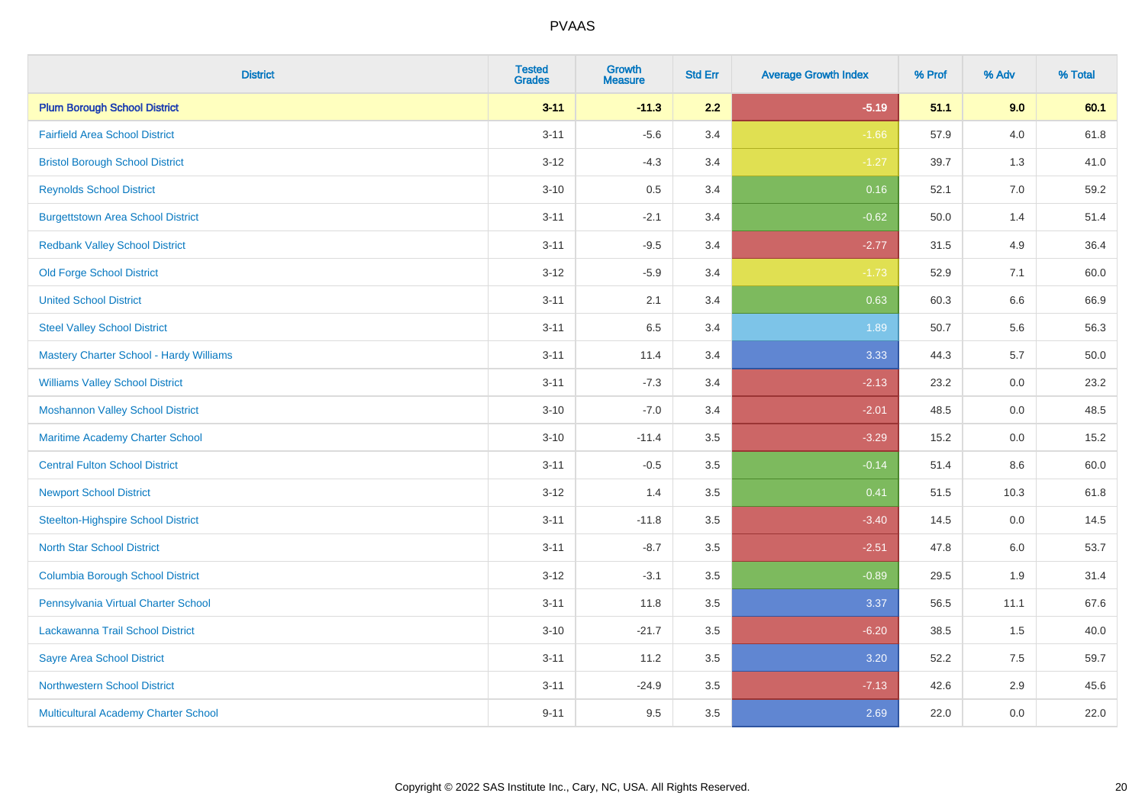| <b>District</b>                           | <b>Tested</b><br><b>Grades</b> | <b>Growth</b><br><b>Measure</b> | <b>Std Err</b> | <b>Average Growth Index</b> | % Prof | % Adv   | % Total  |
|-------------------------------------------|--------------------------------|---------------------------------|----------------|-----------------------------|--------|---------|----------|
| <b>Plum Borough School District</b>       | $3 - 11$                       | $-11.3$                         | 2.2            | $-5.19$                     | 51.1   | 9.0     | 60.1     |
| <b>Fairfield Area School District</b>     | $3 - 11$                       | $-5.6$                          | 3.4            | $-1.66$                     | 57.9   | 4.0     | 61.8     |
| <b>Bristol Borough School District</b>    | $3 - 12$                       | $-4.3$                          | 3.4            | $-1.27$                     | 39.7   | 1.3     | 41.0     |
| <b>Reynolds School District</b>           | $3 - 10$                       | 0.5                             | 3.4            | 0.16                        | 52.1   | $7.0\,$ | 59.2     |
| <b>Burgettstown Area School District</b>  | $3 - 11$                       | $-2.1$                          | 3.4            | $-0.62$                     | 50.0   | 1.4     | 51.4     |
| <b>Redbank Valley School District</b>     | $3 - 11$                       | $-9.5$                          | 3.4            | $-2.77$                     | 31.5   | 4.9     | 36.4     |
| <b>Old Forge School District</b>          | $3 - 12$                       | $-5.9$                          | 3.4            | $-1.73$                     | 52.9   | 7.1     | 60.0     |
| <b>United School District</b>             | $3 - 11$                       | 2.1                             | 3.4            | 0.63                        | 60.3   | 6.6     | 66.9     |
| <b>Steel Valley School District</b>       | $3 - 11$                       | 6.5                             | 3.4            | 1.89                        | 50.7   | 5.6     | 56.3     |
| Mastery Charter School - Hardy Williams   | $3 - 11$                       | 11.4                            | 3.4            | 3.33                        | 44.3   | 5.7     | $50.0\,$ |
| <b>Williams Valley School District</b>    | $3 - 11$                       | $-7.3$                          | 3.4            | $-2.13$                     | 23.2   | 0.0     | 23.2     |
| <b>Moshannon Valley School District</b>   | $3 - 10$                       | $-7.0$                          | 3.4            | $-2.01$                     | 48.5   | 0.0     | 48.5     |
| <b>Maritime Academy Charter School</b>    | $3 - 10$                       | $-11.4$                         | 3.5            | $-3.29$                     | 15.2   | 0.0     | 15.2     |
| <b>Central Fulton School District</b>     | $3 - 11$                       | $-0.5$                          | 3.5            | $-0.14$                     | 51.4   | 8.6     | 60.0     |
| <b>Newport School District</b>            | $3-12$                         | 1.4                             | 3.5            | 0.41                        | 51.5   | 10.3    | 61.8     |
| <b>Steelton-Highspire School District</b> | $3 - 11$                       | $-11.8$                         | 3.5            | $-3.40$                     | 14.5   | 0.0     | 14.5     |
| <b>North Star School District</b>         | $3 - 11$                       | $-8.7$                          | 3.5            | $-2.51$                     | 47.8   | 6.0     | 53.7     |
| <b>Columbia Borough School District</b>   | $3-12$                         | $-3.1$                          | 3.5            | $-0.89$                     | 29.5   | 1.9     | 31.4     |
| Pennsylvania Virtual Charter School       | $3 - 11$                       | 11.8                            | 3.5            | 3.37                        | 56.5   | 11.1    | 67.6     |
| Lackawanna Trail School District          | $3 - 10$                       | $-21.7$                         | 3.5            | $-6.20$                     | 38.5   | 1.5     | 40.0     |
| <b>Sayre Area School District</b>         | $3 - 11$                       | 11.2                            | 3.5            | 3.20                        | 52.2   | 7.5     | 59.7     |
| <b>Northwestern School District</b>       | $3 - 11$                       | $-24.9$                         | 3.5            | $-7.13$                     | 42.6   | 2.9     | 45.6     |
| Multicultural Academy Charter School      | $9 - 11$                       | 9.5                             | 3.5            | 2.69                        | 22.0   | 0.0     | 22.0     |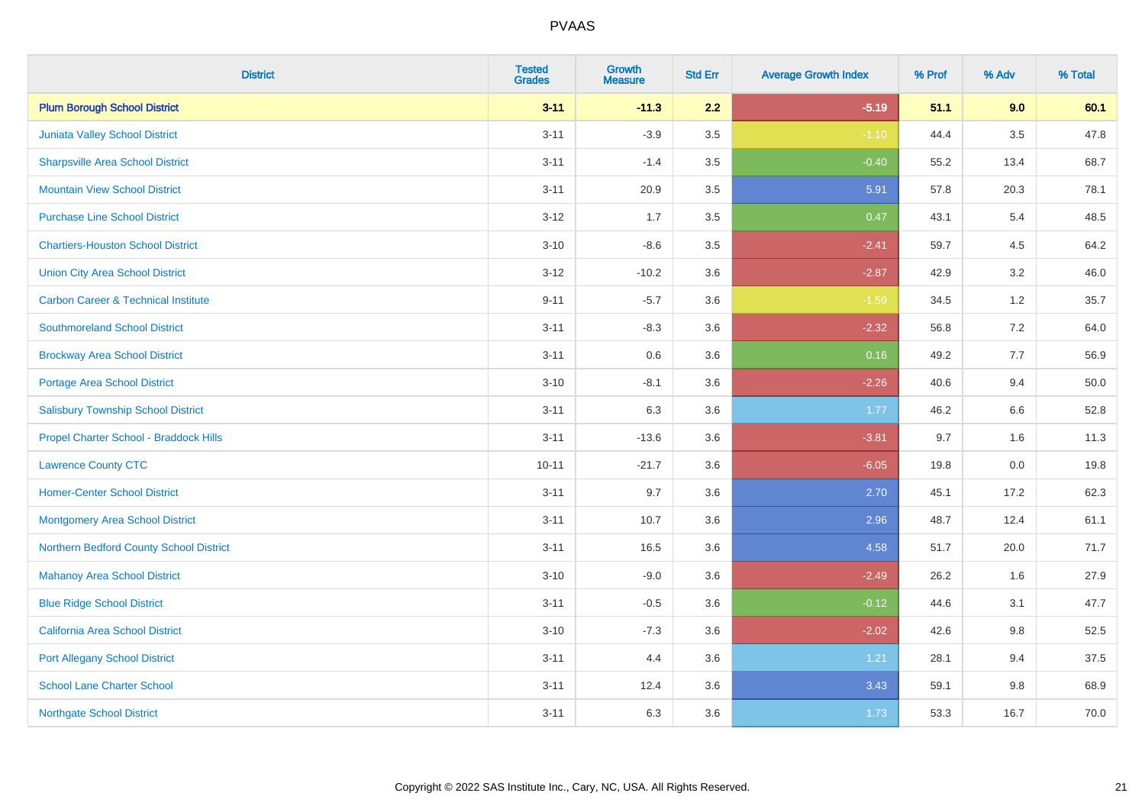| <b>District</b>                                | <b>Tested</b><br><b>Grades</b> | Growth<br><b>Measure</b> | <b>Std Err</b> | <b>Average Growth Index</b> | % Prof | % Adv   | % Total |
|------------------------------------------------|--------------------------------|--------------------------|----------------|-----------------------------|--------|---------|---------|
| <b>Plum Borough School District</b>            | $3 - 11$                       | $-11.3$                  | 2.2            | $-5.19$                     | 51.1   | 9.0     | 60.1    |
| Juniata Valley School District                 | $3 - 11$                       | $-3.9$                   | 3.5            | $-1.10$                     | 44.4   | 3.5     | 47.8    |
| <b>Sharpsville Area School District</b>        | $3 - 11$                       | $-1.4$                   | 3.5            | $-0.40$                     | 55.2   | 13.4    | 68.7    |
| <b>Mountain View School District</b>           | $3 - 11$                       | 20.9                     | $3.5\,$        | 5.91                        | 57.8   | 20.3    | 78.1    |
| <b>Purchase Line School District</b>           | $3 - 12$                       | 1.7                      | 3.5            | 0.47                        | 43.1   | 5.4     | 48.5    |
| <b>Chartiers-Houston School District</b>       | $3 - 10$                       | $-8.6$                   | 3.5            | $-2.41$                     | 59.7   | 4.5     | 64.2    |
| <b>Union City Area School District</b>         | $3 - 12$                       | $-10.2$                  | 3.6            | $-2.87$                     | 42.9   | 3.2     | 46.0    |
| <b>Carbon Career &amp; Technical Institute</b> | $9 - 11$                       | $-5.7$                   | 3.6            | $-1.59$                     | 34.5   | $1.2$   | 35.7    |
| <b>Southmoreland School District</b>           | $3 - 11$                       | $-8.3$                   | 3.6            | $-2.32$                     | 56.8   | 7.2     | 64.0    |
| <b>Brockway Area School District</b>           | $3 - 11$                       | 0.6                      | 3.6            | 0.16                        | 49.2   | 7.7     | 56.9    |
| <b>Portage Area School District</b>            | $3 - 10$                       | $-8.1$                   | 3.6            | $-2.26$                     | 40.6   | 9.4     | 50.0    |
| <b>Salisbury Township School District</b>      | $3 - 11$                       | 6.3                      | 3.6            | 1.77                        | 46.2   | 6.6     | 52.8    |
| Propel Charter School - Braddock Hills         | $3 - 11$                       | $-13.6$                  | 3.6            | $-3.81$                     | 9.7    | 1.6     | 11.3    |
| <b>Lawrence County CTC</b>                     | $10 - 11$                      | $-21.7$                  | 3.6            | $-6.05$                     | 19.8   | $0.0\,$ | 19.8    |
| <b>Homer-Center School District</b>            | $3 - 11$                       | 9.7                      | 3.6            | 2.70                        | 45.1   | 17.2    | 62.3    |
| <b>Montgomery Area School District</b>         | $3 - 11$                       | 10.7                     | 3.6            | 2.96                        | 48.7   | 12.4    | 61.1    |
| Northern Bedford County School District        | $3 - 11$                       | 16.5                     | 3.6            | 4.58                        | 51.7   | 20.0    | 71.7    |
| <b>Mahanoy Area School District</b>            | $3 - 10$                       | $-9.0$                   | 3.6            | $-2.49$                     | 26.2   | 1.6     | 27.9    |
| <b>Blue Ridge School District</b>              | $3 - 11$                       | $-0.5$                   | 3.6            | $-0.12$                     | 44.6   | 3.1     | 47.7    |
| California Area School District                | $3 - 10$                       | $-7.3$                   | 3.6            | $-2.02$                     | 42.6   | $9.8\,$ | 52.5    |
| <b>Port Allegany School District</b>           | $3 - 11$                       | 4.4                      | 3.6            | 1.21                        | 28.1   | 9.4     | 37.5    |
| <b>School Lane Charter School</b>              | $3 - 11$                       | 12.4                     | 3.6            | 3.43                        | 59.1   | $9.8\,$ | 68.9    |
| <b>Northgate School District</b>               | $3 - 11$                       | 6.3                      | 3.6            | 1.73                        | 53.3   | 16.7    | 70.0    |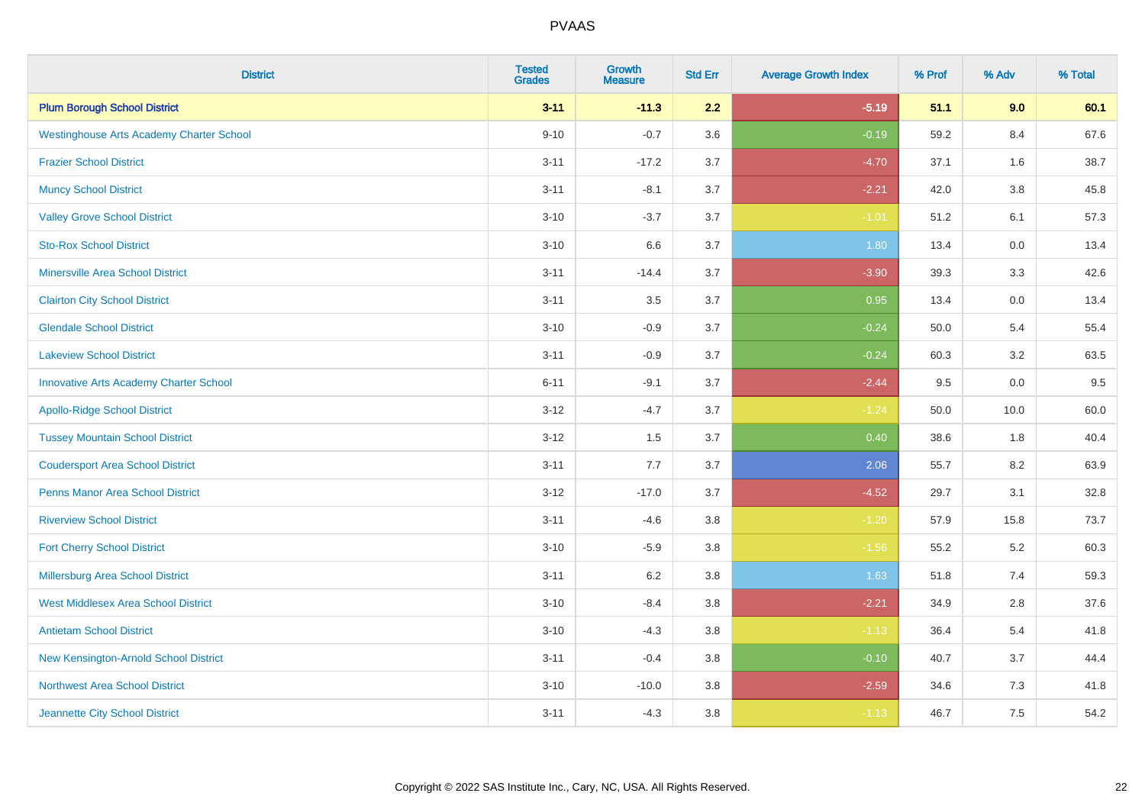| <b>District</b>                                 | <b>Tested</b><br><b>Grades</b> | <b>Growth</b><br><b>Measure</b> | <b>Std Err</b> | <b>Average Growth Index</b> | % Prof | % Adv   | % Total |
|-------------------------------------------------|--------------------------------|---------------------------------|----------------|-----------------------------|--------|---------|---------|
| <b>Plum Borough School District</b>             | $3 - 11$                       | $-11.3$                         | 2.2            | $-5.19$                     | 51.1   | 9.0     | 60.1    |
| <b>Westinghouse Arts Academy Charter School</b> | $9 - 10$                       | $-0.7$                          | 3.6            | $-0.19$                     | 59.2   | 8.4     | 67.6    |
| <b>Frazier School District</b>                  | $3 - 11$                       | $-17.2$                         | 3.7            | $-4.70$                     | 37.1   | 1.6     | 38.7    |
| <b>Muncy School District</b>                    | $3 - 11$                       | $-8.1$                          | 3.7            | $-2.21$                     | 42.0   | $3.8\,$ | 45.8    |
| <b>Valley Grove School District</b>             | $3 - 10$                       | $-3.7$                          | 3.7            | $-1.01$                     | 51.2   | 6.1     | 57.3    |
| <b>Sto-Rox School District</b>                  | $3 - 10$                       | 6.6                             | 3.7            | 1.80                        | 13.4   | 0.0     | 13.4    |
| <b>Minersville Area School District</b>         | $3 - 11$                       | $-14.4$                         | 3.7            | $-3.90$                     | 39.3   | 3.3     | 42.6    |
| <b>Clairton City School District</b>            | $3 - 11$                       | 3.5                             | 3.7            | 0.95                        | 13.4   | 0.0     | 13.4    |
| <b>Glendale School District</b>                 | $3 - 10$                       | $-0.9$                          | 3.7            | $-0.24$                     | 50.0   | 5.4     | 55.4    |
| <b>Lakeview School District</b>                 | $3 - 11$                       | $-0.9$                          | 3.7            | $-0.24$                     | 60.3   | 3.2     | 63.5    |
| <b>Innovative Arts Academy Charter School</b>   | $6 - 11$                       | $-9.1$                          | 3.7            | $-2.44$                     | 9.5    | $0.0\,$ | 9.5     |
| <b>Apollo-Ridge School District</b>             | $3 - 12$                       | $-4.7$                          | 3.7            | $-1.24$                     | 50.0   | 10.0    | 60.0    |
| <b>Tussey Mountain School District</b>          | $3 - 12$                       | 1.5                             | 3.7            | 0.40                        | 38.6   | 1.8     | 40.4    |
| <b>Coudersport Area School District</b>         | $3 - 11$                       | 7.7                             | 3.7            | 2.06                        | 55.7   | 8.2     | 63.9    |
| <b>Penns Manor Area School District</b>         | $3-12$                         | $-17.0$                         | 3.7            | $-4.52$                     | 29.7   | 3.1     | 32.8    |
| <b>Riverview School District</b>                | $3 - 11$                       | $-4.6$                          | $3.8\,$        | $-1.20$                     | 57.9   | 15.8    | 73.7    |
| <b>Fort Cherry School District</b>              | $3 - 10$                       | $-5.9$                          | 3.8            | $-1.56$                     | 55.2   | 5.2     | 60.3    |
| Millersburg Area School District                | $3 - 11$                       | 6.2                             | 3.8            | 1.63                        | 51.8   | 7.4     | 59.3    |
| <b>West Middlesex Area School District</b>      | $3 - 10$                       | $-8.4$                          | 3.8            | $-2.21$                     | 34.9   | 2.8     | 37.6    |
| <b>Antietam School District</b>                 | $3 - 10$                       | $-4.3$                          | $3.8\,$        | $-1.13$                     | 36.4   | 5.4     | 41.8    |
| New Kensington-Arnold School District           | $3 - 11$                       | $-0.4$                          | 3.8            | $-0.10$                     | 40.7   | 3.7     | 44.4    |
| <b>Northwest Area School District</b>           | $3 - 10$                       | $-10.0$                         | 3.8            | $-2.59$                     | 34.6   | $7.3$   | 41.8    |
| Jeannette City School District                  | $3 - 11$                       | $-4.3$                          | $3.8\,$        | $-1.13$                     | 46.7   | 7.5     | 54.2    |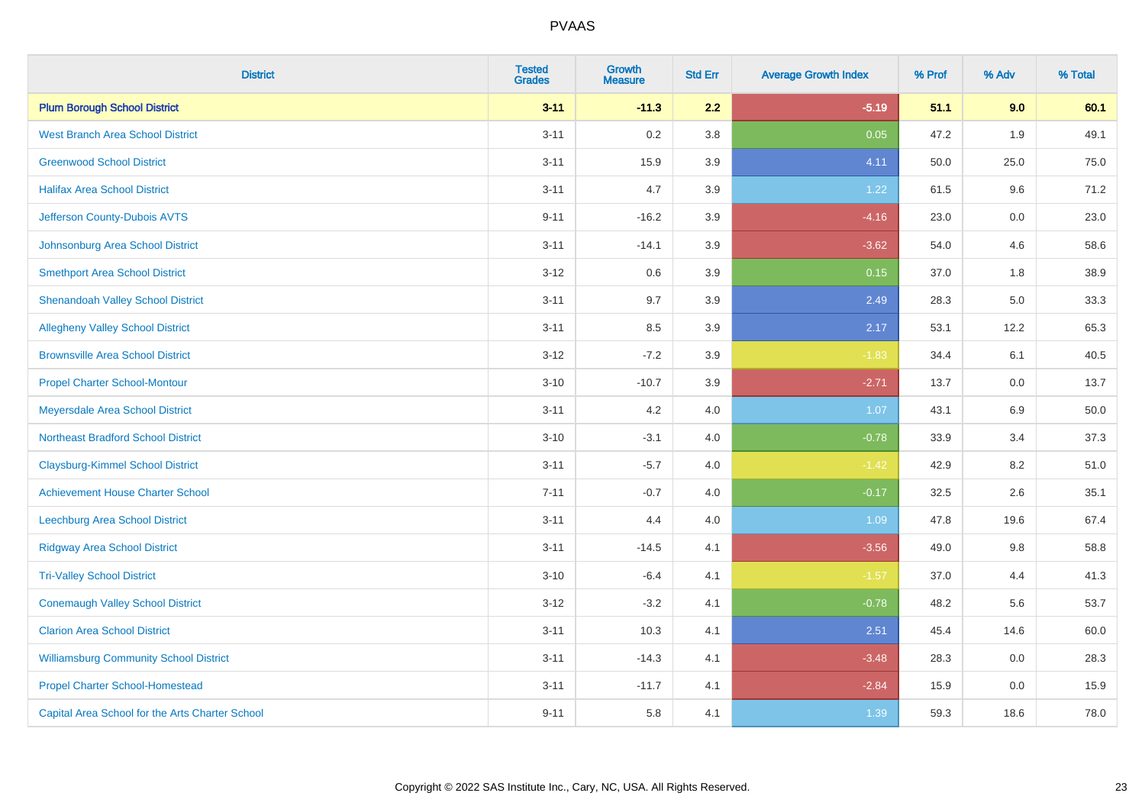| <b>District</b>                                 | <b>Tested</b><br><b>Grades</b> | <b>Growth</b><br><b>Measure</b> | <b>Std Err</b> | <b>Average Growth Index</b> | % Prof | % Adv | % Total |
|-------------------------------------------------|--------------------------------|---------------------------------|----------------|-----------------------------|--------|-------|---------|
| <b>Plum Borough School District</b>             | $3 - 11$                       | $-11.3$                         | 2.2            | $-5.19$                     | 51.1   | 9.0   | 60.1    |
| <b>West Branch Area School District</b>         | $3 - 11$                       | 0.2                             | 3.8            | 0.05                        | 47.2   | 1.9   | 49.1    |
| <b>Greenwood School District</b>                | $3 - 11$                       | 15.9                            | 3.9            | 4.11                        | 50.0   | 25.0  | 75.0    |
| <b>Halifax Area School District</b>             | $3 - 11$                       | 4.7                             | 3.9            | 1.22                        | 61.5   | 9.6   | 71.2    |
| Jefferson County-Dubois AVTS                    | $9 - 11$                       | $-16.2$                         | 3.9            | $-4.16$                     | 23.0   | 0.0   | 23.0    |
| Johnsonburg Area School District                | $3 - 11$                       | $-14.1$                         | 3.9            | $-3.62$                     | 54.0   | 4.6   | 58.6    |
| <b>Smethport Area School District</b>           | $3 - 12$                       | $0.6\,$                         | 3.9            | 0.15                        | 37.0   | 1.8   | 38.9    |
| <b>Shenandoah Valley School District</b>        | $3 - 11$                       | 9.7                             | 3.9            | 2.49                        | 28.3   | 5.0   | 33.3    |
| <b>Allegheny Valley School District</b>         | $3 - 11$                       | 8.5                             | 3.9            | 2.17                        | 53.1   | 12.2  | 65.3    |
| <b>Brownsville Area School District</b>         | $3 - 12$                       | $-7.2$                          | 3.9            | $-1.83$                     | 34.4   | 6.1   | 40.5    |
| <b>Propel Charter School-Montour</b>            | $3 - 10$                       | $-10.7$                         | 3.9            | $-2.71$                     | 13.7   | 0.0   | 13.7    |
| Meyersdale Area School District                 | $3 - 11$                       | 4.2                             | 4.0            | 1.07                        | 43.1   | 6.9   | 50.0    |
| <b>Northeast Bradford School District</b>       | $3 - 10$                       | $-3.1$                          | 4.0            | $-0.78$                     | 33.9   | 3.4   | 37.3    |
| <b>Claysburg-Kimmel School District</b>         | $3 - 11$                       | $-5.7$                          | 4.0            | $-1.42$                     | 42.9   | 8.2   | 51.0    |
| <b>Achievement House Charter School</b>         | $7 - 11$                       | $-0.7$                          | 4.0            | $-0.17$                     | 32.5   | 2.6   | 35.1    |
| <b>Leechburg Area School District</b>           | $3 - 11$                       | 4.4                             | 4.0            | 1.09                        | 47.8   | 19.6  | 67.4    |
| <b>Ridgway Area School District</b>             | $3 - 11$                       | $-14.5$                         | 4.1            | $-3.56$                     | 49.0   | 9.8   | 58.8    |
| <b>Tri-Valley School District</b>               | $3 - 10$                       | $-6.4$                          | 4.1            | $-1.57$                     | 37.0   | 4.4   | 41.3    |
| <b>Conemaugh Valley School District</b>         | $3 - 12$                       | $-3.2$                          | 4.1            | $-0.78$                     | 48.2   | 5.6   | 53.7    |
| <b>Clarion Area School District</b>             | $3 - 11$                       | 10.3                            | 4.1            | 2.51                        | 45.4   | 14.6  | 60.0    |
| <b>Williamsburg Community School District</b>   | $3 - 11$                       | $-14.3$                         | 4.1            | $-3.48$                     | 28.3   | 0.0   | 28.3    |
| <b>Propel Charter School-Homestead</b>          | $3 - 11$                       | $-11.7$                         | 4.1            | $-2.84$                     | 15.9   | 0.0   | 15.9    |
| Capital Area School for the Arts Charter School | $9 - 11$                       | 5.8                             | 4.1            | 1.39                        | 59.3   | 18.6  | 78.0    |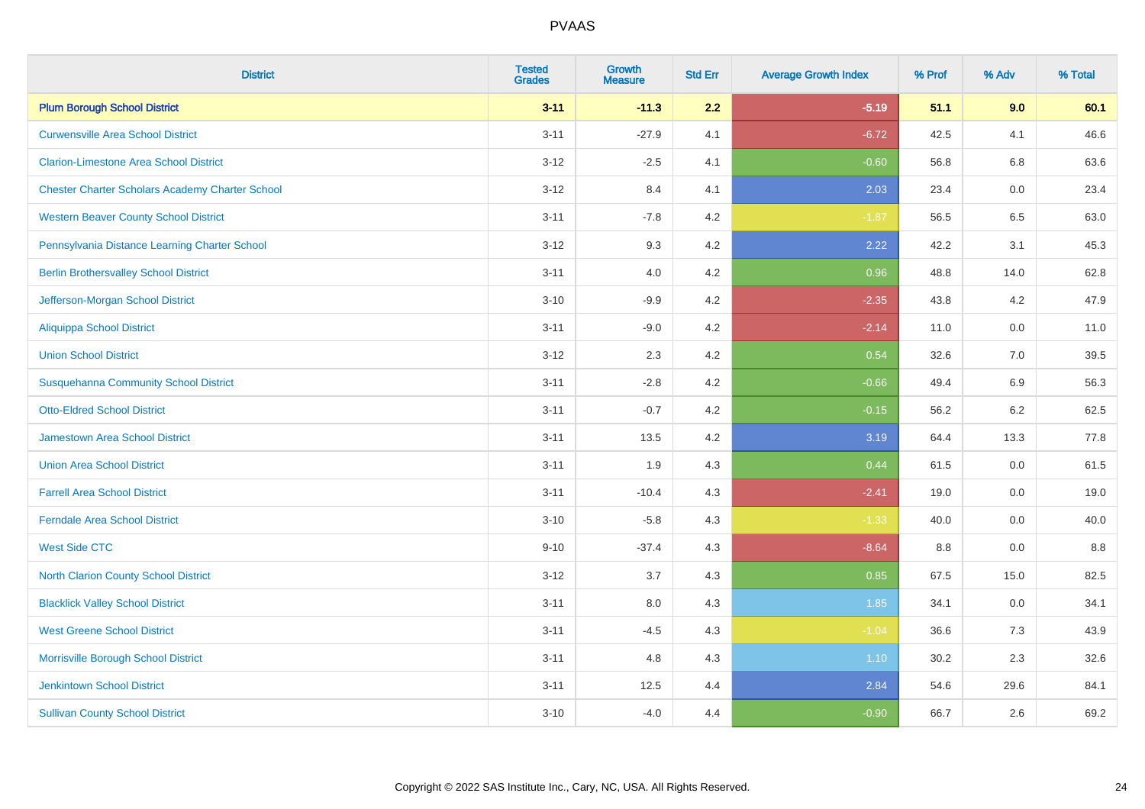| <b>District</b>                                        | <b>Tested</b><br><b>Grades</b> | <b>Growth</b><br><b>Measure</b> | <b>Std Err</b> | <b>Average Growth Index</b> | % Prof | % Adv   | % Total |
|--------------------------------------------------------|--------------------------------|---------------------------------|----------------|-----------------------------|--------|---------|---------|
| <b>Plum Borough School District</b>                    | $3 - 11$                       | $-11.3$                         | 2.2            | $-5.19$                     | 51.1   | 9.0     | 60.1    |
| <b>Curwensville Area School District</b>               | $3 - 11$                       | $-27.9$                         | 4.1            | $-6.72$                     | 42.5   | 4.1     | 46.6    |
| <b>Clarion-Limestone Area School District</b>          | $3 - 12$                       | $-2.5$                          | 4.1            | $-0.60$                     | 56.8   | 6.8     | 63.6    |
| <b>Chester Charter Scholars Academy Charter School</b> | $3 - 12$                       | 8.4                             | 4.1            | 2.03                        | 23.4   | $0.0\,$ | 23.4    |
| <b>Western Beaver County School District</b>           | $3 - 11$                       | $-7.8$                          | 4.2            | $-1.87$                     | 56.5   | 6.5     | 63.0    |
| Pennsylvania Distance Learning Charter School          | $3 - 12$                       | 9.3                             | 4.2            | 2.22                        | 42.2   | 3.1     | 45.3    |
| <b>Berlin Brothersvalley School District</b>           | $3 - 11$                       | 4.0                             | 4.2            | 0.96                        | 48.8   | 14.0    | 62.8    |
| Jefferson-Morgan School District                       | $3 - 10$                       | $-9.9$                          | 4.2            | $-2.35$                     | 43.8   | 4.2     | 47.9    |
| <b>Aliquippa School District</b>                       | $3 - 11$                       | $-9.0$                          | 4.2            | $-2.14$                     | 11.0   | 0.0     | 11.0    |
| <b>Union School District</b>                           | $3 - 12$                       | 2.3                             | 4.2            | 0.54                        | 32.6   | 7.0     | 39.5    |
| <b>Susquehanna Community School District</b>           | $3 - 11$                       | $-2.8$                          | 4.2            | $-0.66$                     | 49.4   | 6.9     | 56.3    |
| <b>Otto-Eldred School District</b>                     | $3 - 11$                       | $-0.7$                          | 4.2            | $-0.15$                     | 56.2   | 6.2     | 62.5    |
| <b>Jamestown Area School District</b>                  | $3 - 11$                       | 13.5                            | 4.2            | 3.19                        | 64.4   | 13.3    | 77.8    |
| <b>Union Area School District</b>                      | $3 - 11$                       | 1.9                             | 4.3            | 0.44                        | 61.5   | 0.0     | 61.5    |
| <b>Farrell Area School District</b>                    | $3 - 11$                       | $-10.4$                         | 4.3            | $-2.41$                     | 19.0   | 0.0     | 19.0    |
| <b>Ferndale Area School District</b>                   | $3 - 10$                       | $-5.8$                          | 4.3            | $-1.33$                     | 40.0   | 0.0     | 40.0    |
| <b>West Side CTC</b>                                   | $9 - 10$                       | $-37.4$                         | 4.3            | $-8.64$                     | 8.8    | 0.0     | 8.8     |
| <b>North Clarion County School District</b>            | $3 - 12$                       | 3.7                             | 4.3            | 0.85                        | 67.5   | 15.0    | 82.5    |
| <b>Blacklick Valley School District</b>                | $3 - 11$                       | $8.0\,$                         | 4.3            | 1.85                        | 34.1   | $0.0\,$ | 34.1    |
| <b>West Greene School District</b>                     | $3 - 11$                       | $-4.5$                          | 4.3            | $-1.04$                     | 36.6   | 7.3     | 43.9    |
| Morrisville Borough School District                    | $3 - 11$                       | 4.8                             | 4.3            | 1.10                        | 30.2   | 2.3     | 32.6    |
| Jenkintown School District                             | $3 - 11$                       | 12.5                            | 4.4            | 2.84                        | 54.6   | 29.6    | 84.1    |
| <b>Sullivan County School District</b>                 | $3 - 10$                       | $-4.0$                          | 4.4            | $-0.90$                     | 66.7   | 2.6     | 69.2    |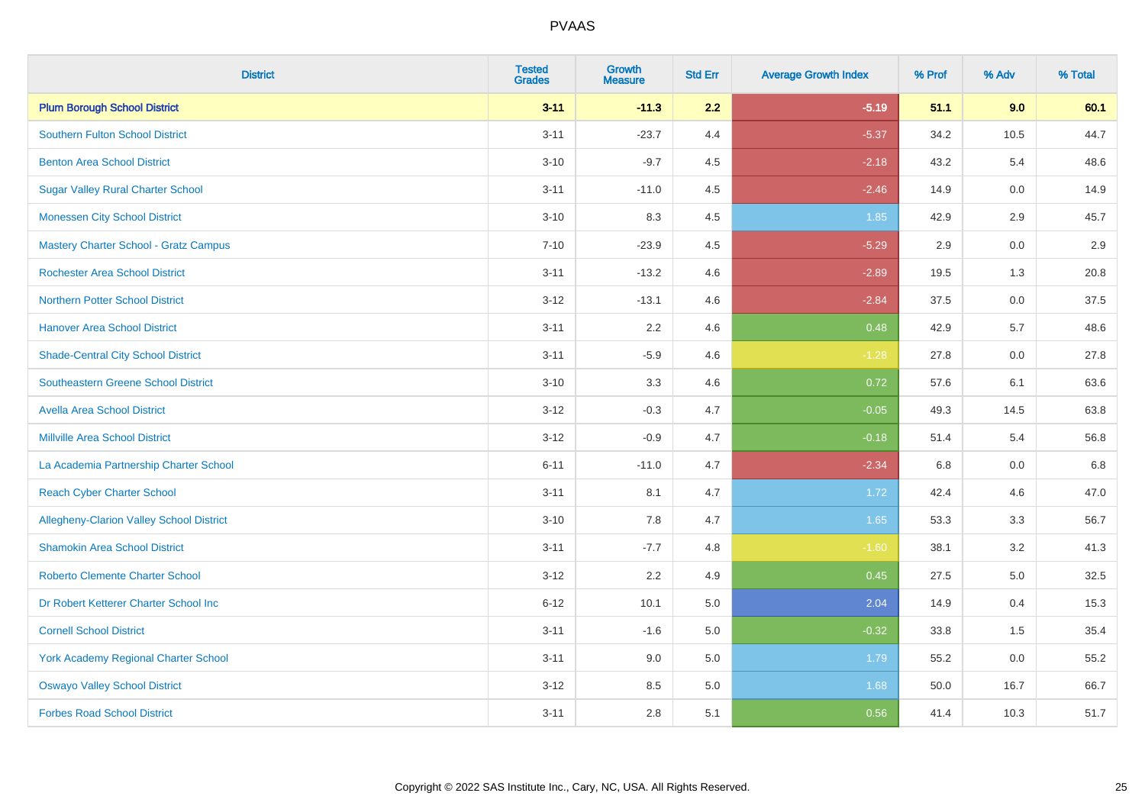| <b>District</b>                                 | <b>Tested</b><br><b>Grades</b> | <b>Growth</b><br><b>Measure</b> | <b>Std Err</b> | <b>Average Growth Index</b> | % Prof | % Adv   | % Total |
|-------------------------------------------------|--------------------------------|---------------------------------|----------------|-----------------------------|--------|---------|---------|
| <b>Plum Borough School District</b>             | $3 - 11$                       | $-11.3$                         | 2.2            | $-5.19$                     | 51.1   | 9.0     | 60.1    |
| <b>Southern Fulton School District</b>          | $3 - 11$                       | $-23.7$                         | 4.4            | $-5.37$                     | 34.2   | 10.5    | 44.7    |
| <b>Benton Area School District</b>              | $3 - 10$                       | $-9.7$                          | 4.5            | $-2.18$                     | 43.2   | 5.4     | 48.6    |
| <b>Sugar Valley Rural Charter School</b>        | $3 - 11$                       | $-11.0$                         | 4.5            | $-2.46$                     | 14.9   | $0.0\,$ | 14.9    |
| <b>Monessen City School District</b>            | $3 - 10$                       | 8.3                             | 4.5            | 1.85                        | 42.9   | 2.9     | 45.7    |
| <b>Mastery Charter School - Gratz Campus</b>    | $7 - 10$                       | $-23.9$                         | 4.5            | $-5.29$                     | 2.9    | 0.0     | 2.9     |
| <b>Rochester Area School District</b>           | $3 - 11$                       | $-13.2$                         | 4.6            | $-2.89$                     | 19.5   | 1.3     | 20.8    |
| <b>Northern Potter School District</b>          | $3 - 12$                       | $-13.1$                         | 4.6            | $-2.84$                     | 37.5   | 0.0     | 37.5    |
| <b>Hanover Area School District</b>             | $3 - 11$                       | 2.2                             | 4.6            | 0.48                        | 42.9   | 5.7     | 48.6    |
| <b>Shade-Central City School District</b>       | $3 - 11$                       | $-5.9$                          | 4.6            | $-1.28$                     | 27.8   | 0.0     | 27.8    |
| <b>Southeastern Greene School District</b>      | $3 - 10$                       | 3.3                             | 4.6            | 0.72                        | 57.6   | 6.1     | 63.6    |
| <b>Avella Area School District</b>              | $3 - 12$                       | $-0.3$                          | 4.7            | $-0.05$                     | 49.3   | 14.5    | 63.8    |
| <b>Millville Area School District</b>           | $3 - 12$                       | $-0.9$                          | 4.7            | $-0.18$                     | 51.4   | 5.4     | 56.8    |
| La Academia Partnership Charter School          | $6 - 11$                       | $-11.0$                         | 4.7            | $-2.34$                     | 6.8    | 0.0     | 6.8     |
| <b>Reach Cyber Charter School</b>               | $3 - 11$                       | 8.1                             | 4.7            | 1.72                        | 42.4   | 4.6     | 47.0    |
| <b>Allegheny-Clarion Valley School District</b> | $3 - 10$                       | 7.8                             | 4.7            | 1.65                        | 53.3   | 3.3     | 56.7    |
| <b>Shamokin Area School District</b>            | $3 - 11$                       | $-7.7$                          | 4.8            | $-1.60$                     | 38.1   | 3.2     | 41.3    |
| <b>Roberto Clemente Charter School</b>          | $3 - 12$                       | 2.2                             | 4.9            | 0.45                        | 27.5   | 5.0     | 32.5    |
| Dr Robert Ketterer Charter School Inc           | $6 - 12$                       | 10.1                            | 5.0            | 2.04                        | 14.9   | 0.4     | 15.3    |
| <b>Cornell School District</b>                  | $3 - 11$                       | $-1.6$                          | 5.0            | $-0.32$                     | 33.8   | 1.5     | 35.4    |
| York Academy Regional Charter School            | $3 - 11$                       | 9.0                             | 5.0            | 1.79                        | 55.2   | 0.0     | 55.2    |
| <b>Oswayo Valley School District</b>            | $3 - 12$                       | 8.5                             | 5.0            | 1.68                        | 50.0   | 16.7    | 66.7    |
| <b>Forbes Road School District</b>              | $3 - 11$                       | 2.8                             | 5.1            | 0.56                        | 41.4   | 10.3    | 51.7    |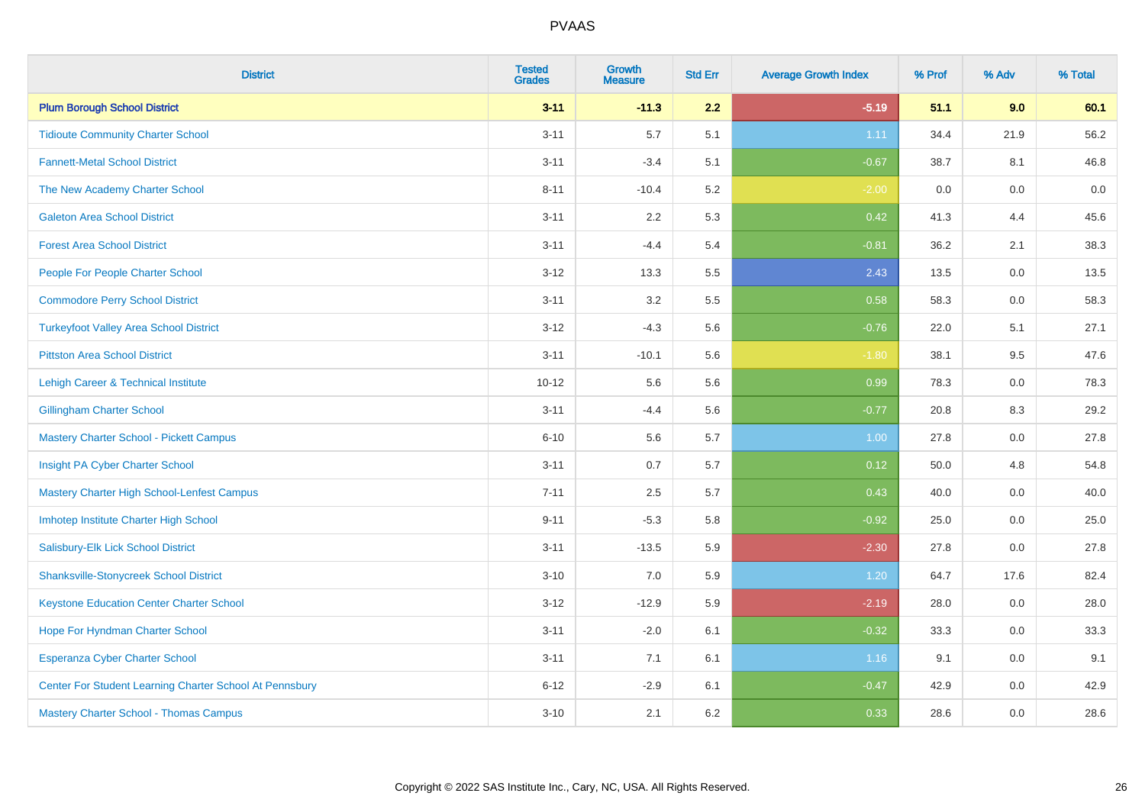| <b>District</b>                                         | <b>Tested</b><br><b>Grades</b> | <b>Growth</b><br><b>Measure</b> | <b>Std Err</b> | <b>Average Growth Index</b> | % Prof | % Adv   | % Total |
|---------------------------------------------------------|--------------------------------|---------------------------------|----------------|-----------------------------|--------|---------|---------|
| <b>Plum Borough School District</b>                     | $3 - 11$                       | $-11.3$                         | 2.2            | $-5.19$                     | 51.1   | 9.0     | 60.1    |
| <b>Tidioute Community Charter School</b>                | $3 - 11$                       | 5.7                             | 5.1            | 1.11                        | 34.4   | 21.9    | 56.2    |
| <b>Fannett-Metal School District</b>                    | $3 - 11$                       | $-3.4$                          | 5.1            | $-0.67$                     | 38.7   | 8.1     | 46.8    |
| The New Academy Charter School                          | $8 - 11$                       | $-10.4$                         | 5.2            | $-2.00$                     | 0.0    | $0.0\,$ | 0.0     |
| <b>Galeton Area School District</b>                     | $3 - 11$                       | 2.2                             | 5.3            | 0.42                        | 41.3   | 4.4     | 45.6    |
| <b>Forest Area School District</b>                      | $3 - 11$                       | $-4.4$                          | 5.4            | $-0.81$                     | 36.2   | 2.1     | 38.3    |
| People For People Charter School                        | $3 - 12$                       | 13.3                            | 5.5            | 2.43                        | 13.5   | 0.0     | 13.5    |
| <b>Commodore Perry School District</b>                  | $3 - 11$                       | 3.2                             | 5.5            | 0.58                        | 58.3   | 0.0     | 58.3    |
| <b>Turkeyfoot Valley Area School District</b>           | $3-12$                         | $-4.3$                          | 5.6            | $-0.76$                     | 22.0   | 5.1     | 27.1    |
| <b>Pittston Area School District</b>                    | $3 - 11$                       | $-10.1$                         | 5.6            | $-1.80$                     | 38.1   | 9.5     | 47.6    |
| Lehigh Career & Technical Institute                     | $10 - 12$                      | 5.6                             | 5.6            | 0.99                        | 78.3   | 0.0     | 78.3    |
| <b>Gillingham Charter School</b>                        | $3 - 11$                       | $-4.4$                          | 5.6            | $-0.77$                     | 20.8   | 8.3     | 29.2    |
| Mastery Charter School - Pickett Campus                 | $6 - 10$                       | 5.6                             | 5.7            | 1.00                        | 27.8   | 0.0     | 27.8    |
| Insight PA Cyber Charter School                         | $3 - 11$                       | 0.7                             | 5.7            | 0.12                        | 50.0   | 4.8     | 54.8    |
| Mastery Charter High School-Lenfest Campus              | $7 - 11$                       | 2.5                             | 5.7            | 0.43                        | 40.0   | $0.0\,$ | 40.0    |
| Imhotep Institute Charter High School                   | $9 - 11$                       | $-5.3$                          | 5.8            | $-0.92$                     | 25.0   | $0.0\,$ | 25.0    |
| Salisbury-Elk Lick School District                      | $3 - 11$                       | $-13.5$                         | 5.9            | $-2.30$                     | 27.8   | 0.0     | 27.8    |
| <b>Shanksville-Stonycreek School District</b>           | $3 - 10$                       | 7.0                             | 5.9            | 1.20                        | 64.7   | 17.6    | 82.4    |
| <b>Keystone Education Center Charter School</b>         | $3-12$                         | $-12.9$                         | 5.9            | $-2.19$                     | 28.0   | 0.0     | 28.0    |
| Hope For Hyndman Charter School                         | $3 - 11$                       | $-2.0$                          | 6.1            | $-0.32$                     | 33.3   | 0.0     | 33.3    |
| <b>Esperanza Cyber Charter School</b>                   | $3 - 11$                       | 7.1                             | 6.1            | 1.16                        | 9.1    | 0.0     | 9.1     |
| Center For Student Learning Charter School At Pennsbury | $6 - 12$                       | $-2.9$                          | 6.1            | $-0.47$                     | 42.9   | 0.0     | 42.9    |
| Mastery Charter School - Thomas Campus                  | $3 - 10$                       | 2.1                             | 6.2            | 0.33                        | 28.6   | 0.0     | 28.6    |